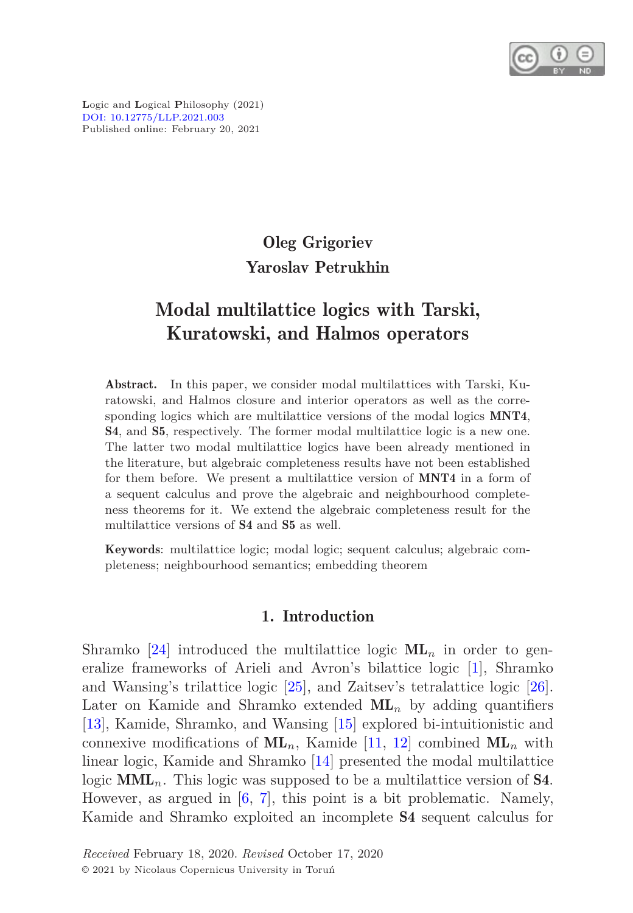

**L**ogic and **L**ogical **P**hilosophy (2021) [DOI: 10.12775/LLP.2021.003](http://dx.doi.org/10.12775/LLP.2021.003) Published online: February 20, 2021

# Oleg Grigoriev Yaroslav Petrukhin

# Modal multilattice logics with Tarski, Kuratowski, and Halmos operators

Abstract. In this paper, we consider modal multilattices with Tarski, Kuratowski, and Halmos closure and interior operators as well as the corresponding logics which are multilattice versions of the modal logics **MNT4**, S4, and S5, respectively. The former modal multilattice logic is a new one. The latter two modal multilattice logics have been already mentioned in the literature, but algebraic completeness results have not been established for them before. We present a multilattice version of MNT4 in a form of a sequent calculus and prove the algebraic and neighbourhood completeness theorems for it. We extend the algebraic completeness result for the multilattice versions of S4 and S5 as well.

Keywords: multilattice logic; modal logic; sequent calculus; algebraic completeness; neighbourhood semantics; embedding theorem

# 1. Introduction

Shramko [\[24\]](#page-30-0) introduced the multilattice logic  $ML_n$  in order to generalize frameworks of Arieli and Avron's bilattice logic [\[1](#page-28-0)], Shramko and Wansing's trilattice logic [\[25](#page-30-1)], and Zaitsev's tetralattice logic [\[26\]](#page-30-2). Later on Kamide and Shramko extended  $ML_n$  by adding quantifiers [\[13\]](#page-29-0), Kamide, Shramko, and Wansing [\[15\]](#page-29-1) explored bi-intuitionistic and connexive modifications of  $ML_n$ , Kamide [\[11,](#page-29-2) [12\]](#page-29-3) combined  $ML_n$  with linear logic, Kamide and Shramko [\[14\]](#page-29-4) presented the modal multilattice logic **MML**<sub>n</sub>. This logic was supposed to be a multilattice version of **S4**. However, as argued in [\[6](#page-29-5), [7](#page-29-6)], this point is a bit problematic. Namely, Kamide and Shramko exploited an incomplete S4 sequent calculus for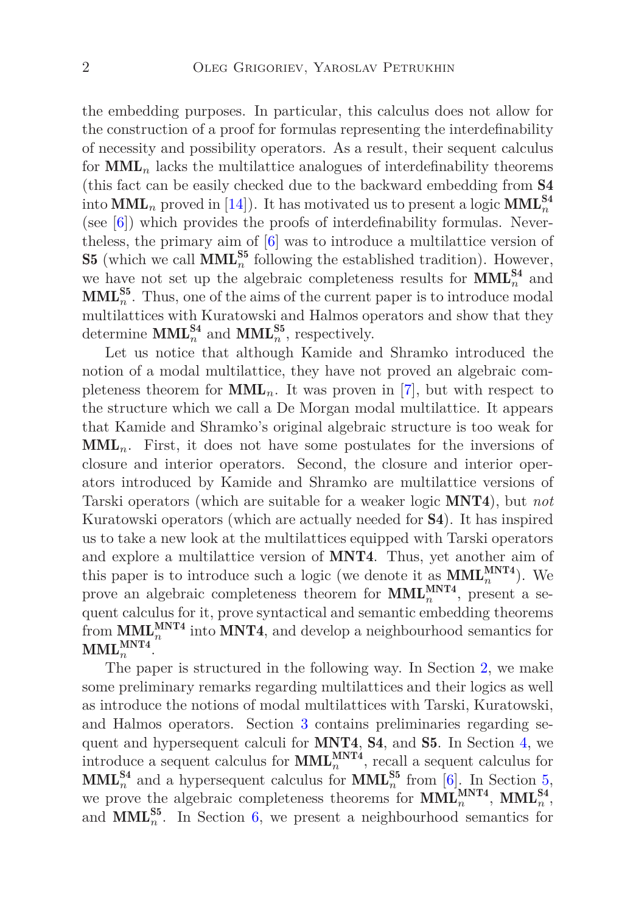the embedding purposes. In particular, this calculus does not allow for the construction of a proof for formulas representing the interdefinability of necessity and possibility operators. As a result, their sequent calculus for  $\text{MML}_n$  lacks the multilattice analogues of interdefinability theorems (this fact can be easily checked due to the backward embedding from S4 into  $\text{MML}_n$  proved in [\[14](#page-29-4)]). It has motivated us to present a logic  $\text{MML}_n^{\text{S4}}$ (see [\[6\]](#page-29-5)) which provides the proofs of interdefinability formulas. Nevertheless, the primary aim of [\[6\]](#page-29-5) was to introduce a multilattice version of **S5** (which we call **MML**<sup>S5</sup><sup> $n$ </sup> following the established tradition). However, we have not set up the algebraic completeness results for  $\text{MML}_{n}^{\text{S4}}$  and  $\text{MML}_{n}^{\text{S5}}$ . Thus, one of the aims of the current paper is to introduce modal multilattices with Kuratowski and Halmos operators and show that they determine **MML**<sup>S4</sup><sub>n</sub> and **MML**<sup>S5</sup><sub>n</sub><sup>55</sup>, respectively.

Let us notice that although Kamide and Shramko introduced the notion of a modal multilattice, they have not proved an algebraic completeness theorem for  $MML_n$ . It was proven in [\[7](#page-29-6)], but with respect to the structure which we call a De Morgan modal multilattice. It appears that Kamide and Shramko's original algebraic structure is too weak for  $\text{MML}_n$ . First, it does not have some postulates for the inversions of closure and interior operators. Second, the closure and interior operators introduced by Kamide and Shramko are multilattice versions of Tarski operators (which are suitable for a weaker logic MNT4), but *not* Kuratowski operators (which are actually needed for S4). It has inspired us to take a new look at the multilattices equipped with Tarski operators and explore a multilattice version of MNT4. Thus, yet another aim of this paper is to introduce such a logic (we denote it as  $\text{MML}_{n}^{\text{MNT4}}$ ). We prove an algebraic completeness theorem for  $\text{MML}_{n}^{\text{MNT4}}$ , present a sequent calculus for it, prove syntactical and semantic embedding theorems from  $\text{MML}_{n}^{\text{MNT4}}$  into MNT4, and develop a neighbourhood semantics for  $\text{MML}_{n}^{\text{MNT4}}$ .

The paper is structured in the following way. In Section [2,](#page-2-0) we make some preliminary remarks regarding multilattices and their logics as well as introduce the notions of modal multilattices with Tarski, Kuratowski, and Halmos operators. Section [3](#page-6-0) contains preliminaries regarding sequent and hypersequent calculi for MNT4, S4, and S5. In Section [4,](#page-10-0) we introduce a sequent calculus for  $\text{MML}_{n}^{\text{MNT4}}$ , recall a sequent calculus for  $\text{MML}_{n}^{\text{S4}}$  and a hypersequent calculus for  $\text{MML}_{n}^{\text{S5}}$  from [\[6](#page-29-5)]. In Section [5,](#page-13-0) we prove the algebraic completeness theorems for  $\text{MML}_{n}^{\text{MNT4}}, \text{MML}_{n}^{\text{S4}},$ and  $\text{MML}_{n}^{\text{S5}}$ . In Section [6,](#page-21-0) we present a neighbourhood semantics for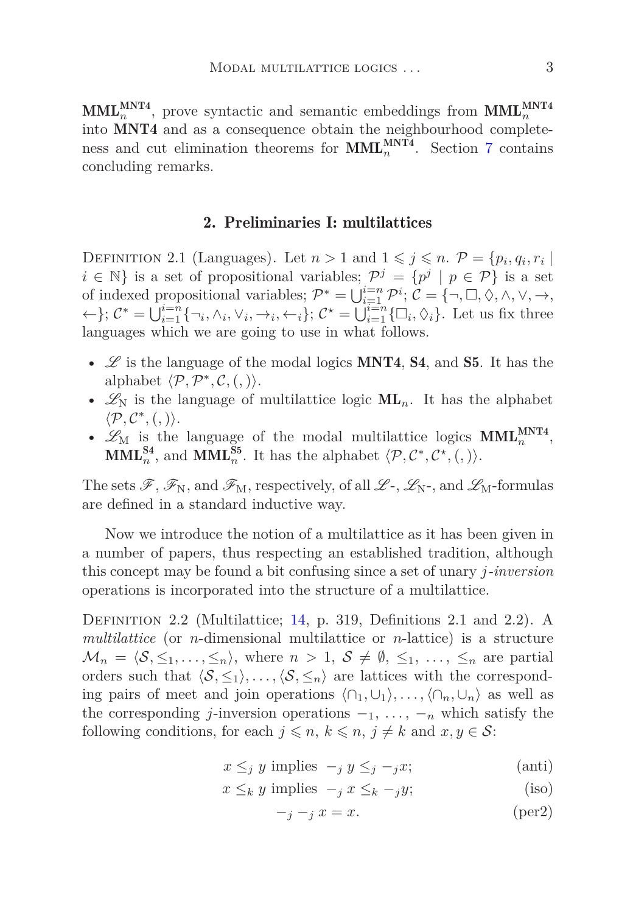<span id="page-2-0"></span> $\text{MML}_{n}^{\text{MNT4}}$ , prove syntactic and semantic embeddings from  $\text{MML}_{n}^{\text{MNT4}}$ into MNT4 and as a consequence obtain the neighbourhood completeness and cut elimination theorems for  $\text{MML}_{n}^{\text{MNT4}}$ . Section [7](#page-28-1) contains concluding remarks.

# 2. Preliminaries I: multilattices

DEFINITION 2.1 (Languages). Let  $n > 1$  and  $1 \leqslant j \leqslant n$ .  $\mathcal{P} = \{p_i, q_i, r_i \mid$ *i* ∈ N} is a set of propositional variables;  $\mathcal{P}^j = \{p^j | p \in \mathcal{P}\}\$ is a set of indexed propositional variables;  $\mathcal{P}^* = \bigcup_{i=1}^{i=n} \mathcal{P}^i$ ;  $\mathcal{C} = \{\neg, \Box, \Diamond, \land, \lor, \rightarrow, \Box\}$  $\{\leftarrow\}; \mathcal{C}^* = \bigcup_{i=1}^{i=n} \{\neg_i, \wedge_i, \vee_i, \rightarrow_i, \leftarrow_i\}; \mathcal{C}^* = \bigcup_{i=1}^{i=n} \{\Box_i, \Diamond_i\}.$  Let us fix three languages which we are going to use in what follows.

- $\mathscr L$  is the language of the modal logics **MNT4, S4,** and **S5**. It has the alphabet  $\langle P, P^*, C, (,) \rangle$ .
- $\mathscr{L}_{N}$  is the language of multilattice logic  $ML_n$ . It has the alphabet  $\langle \mathcal{P}, \mathcal{C}^*, (,)\rangle.$
- $\mathscr{L}_{M}$  is the language of the modal multilattice logics  $MML_{n}^{MNT4}$ , **MML**<sup>S4</sup></sup><sub>*n*</sub>, and **MML**<sup>S5</sup><sub>*n*</sub>. It has the alphabet  $\langle \mathcal{P}, \mathcal{C}^*, \mathcal{C}^*, (0) \rangle$ .

The sets  $\mathscr{F}, \mathscr{F}_{N}$ , and  $\mathscr{F}_{M}$ , respectively, of all  $\mathscr{L}_{\neg}$ ,  $\mathscr{L}_{N}$ -, and  $\mathscr{L}_{M}$ -formulas are defined in a standard inductive way.

Now we introduce the notion of a multilattice as it has been given in a number of papers, thus respecting an established tradition, although this concept may be found a bit confusing since a set of unary *j-inversion* operations is incorporated into the structure of a multilattice.

Definition 2.2 (Multilattice; [14](#page-29-4), p. 319, Definitions 2.1 and 2.2). A *multilattice* (or *n*-dimensional multilattice or *n*-lattice) is a structure  $\mathcal{M}_n = \langle \mathcal{S}, \leq_1, \ldots, \leq_n \rangle$ , where  $n > 1, \mathcal{S} \neq \emptyset, \leq_1, \ldots, \leq_n$  are partial orders such that  $\langle S, \leq_1 \rangle, \ldots, \langle S, \leq_n \rangle$  are lattices with the corresponding pairs of meet and join operations  $\langle \cap_1, \cup_1 \rangle, \ldots, \langle \cap_n, \cup_n \rangle$  as well as the corresponding *j*-inversion operations  $-1, \ldots, -n$  which satisfy the following conditions, for each  $j \leq n, k \leq n, j \neq k$  and  $x, y \in S$ :

- $x \leq j$  *y* implies  $-i$  *y*  $\leq j$  −*jx*; (anti)
- $x \leq_k y$  implies  $-\frac{y}{x} \leq_k -\frac{y}{y}$ ; (iso)

$$
-j - j x = x.
$$
 (per2)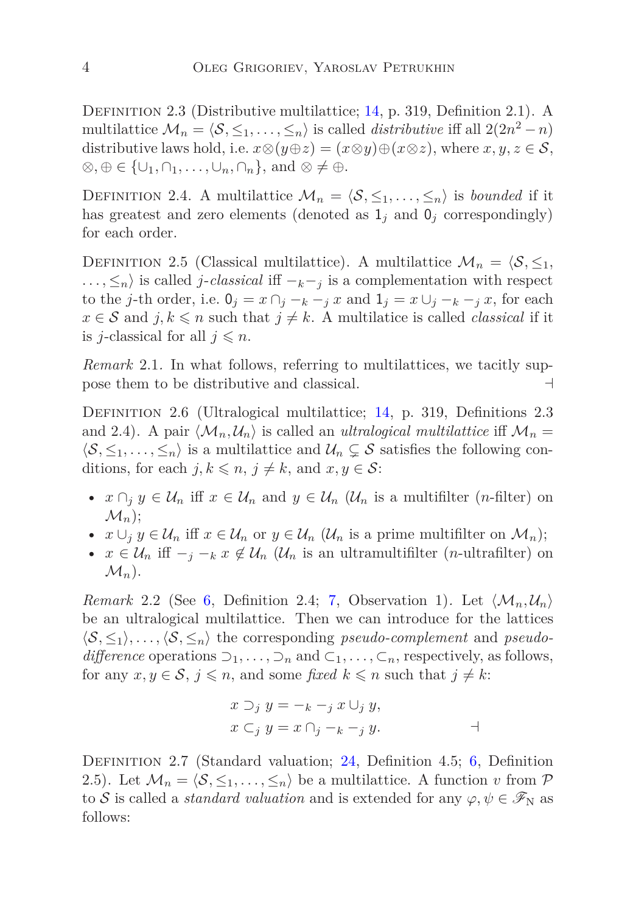Definition 2.3 (Distributive multilattice; [14](#page-29-4), p. 319, Definition 2.1). A multilattice  $\mathcal{M}_n = \langle \mathcal{S}, \leq_1, \ldots, \leq_n \rangle$  is called *distributive* iff all 2(2*n*<sup>2</sup> − *n*) distributive laws hold, i.e.  $x \otimes (y \oplus z) = (x \otimes y) \oplus (x \otimes z)$ , where  $x, y, z \in S$ ,  $\otimes$ ,  $\oplus \in {\cup_1, \cap_1, \ldots, \cup_n, \cap_n}$ , and  $\otimes \neq \oplus$ .

DEFINITION 2.4. A multilattice  $\mathcal{M}_n = \langle \mathcal{S}, \leq_1, \ldots, \leq_n \rangle$  is *bounded* if it has greatest and zero elements (denoted as  $1_j$  and  $0_j$  correspondingly) for each order.

DEFINITION 2.5 (Classical multilattice). A multilattice  $\mathcal{M}_n = \langle \mathcal{S}, \leq_1, \rangle$  $\ldots$ ,  $\leq_n$  is called *j*-*classical* iff  $-<sub>k</sub> - <sub>j</sub>$  is a complementation with respect to the *j*-th order, i.e.  $0_j = x \cap_j -_k -_j x$  and  $1_j = x \cup_j -_k -_j x$ , for each  $x \in S$  and  $j, k \leq n$  such that  $j \neq k$ . A multilatice is called *classical* if it is *j*-classical for all  $j \leq n$ .

*Remark* 2.1*.* In what follows, referring to multilattices, we tacitly suppose them to be distributive and classical. ⊣

Definition 2.6 (Ultralogical multilattice; [14,](#page-29-4) p. 319, Definitions 2.3 and 2.4). A pair  $\langle \mathcal{M}_n, \mathcal{U}_n \rangle$  is called an *ultralogical multilattice* iff  $\mathcal{M}_n =$  $\langle S, \leq_1, \ldots, \leq_n \rangle$  is a multilattice and  $\mathcal{U}_n \subsetneq S$  satisfies the following conditions, for each  $j, k \leq n, j \neq k$ , and  $x, y \in S$ :

- $x \cap_i y \in \mathcal{U}_n$  iff  $x \in \mathcal{U}_n$  and  $y \in \mathcal{U}_n$  ( $\mathcal{U}_n$  is a multifilter (*n*-filter) on  $\mathcal{M}_n$ :
- $x \cup_j y \in \mathcal{U}_n$  iff  $x \in \mathcal{U}_n$  or  $y \in \mathcal{U}_n$  ( $\mathcal{U}_n$  is a prime multifilter on  $\mathcal{M}_n$ );
- $x \in \mathcal{U}_n$  iff  $\overline{\phantom{a}}_j -_k x \notin \mathcal{U}_n$  ( $\mathcal{U}_n$  is an ultramultifilter (*n*-ultrafilter) on  $\mathcal{M}_n$ ).

*Remark* 2.2 (See [6](#page-29-5), Definition 2.4; [7,](#page-29-6) Observation 1). Let  $\langle \mathcal{M}_n, \mathcal{U}_n \rangle$ be an ultralogical multilattice. Then we can introduce for the lattices  $\langle S, \leq_1 \rangle, \ldots, \langle S, \leq_n \rangle$  the corresponding *pseudo-complement* and *pseudodifference* operations  $\supseteq_1, \ldots, \supseteq_n$  and  $\subseteq_1, \ldots, \subseteq_n$ , respectively, as follows, for any  $x, y \in \mathcal{S}, j \leq n$ , and some *fixed*  $k \leq n$  such that  $j \neq k$ :

$$
x \supset_j y = -k - j x \cup_j y,
$$
  
\n
$$
x \subset_j y = x \cap_j - k - j y.
$$

<span id="page-3-0"></span>Definition 2.7 (Standard valuation; [24,](#page-30-0) Definition 4.5; [6,](#page-29-5) Definition 2.5). Let  $\mathcal{M}_n = \langle \mathcal{S}, \leq_1, \ldots, \leq_n \rangle$  be a multilattice. A function *v* from  $\mathcal P$ to S is called a *standard valuation* and is extended for any  $\varphi, \psi \in \mathscr{F}_{N}$  as follows: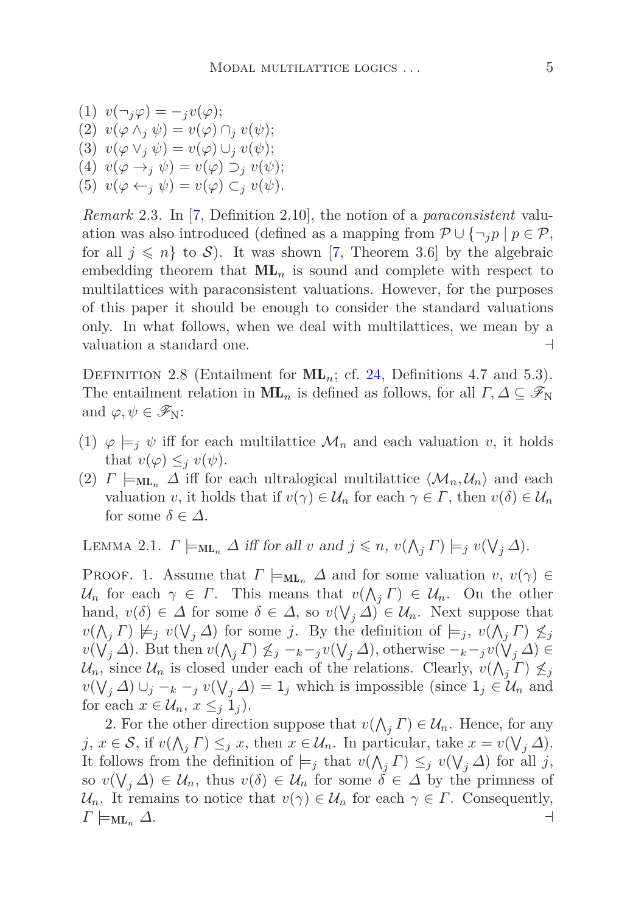- $v(\neg_i \varphi) = -i v(\varphi);$
- $v(\varphi \wedge_i \psi) = v(\varphi) \cap_i v(\psi);$
- $v(\varphi \vee_i \psi) = v(\varphi) \cup_i v(\psi);$
- (4)  $v(\varphi \rightarrow_i \psi) = v(\varphi) \supset_i v(\psi);$
- (5)  $v(\varphi \leftarrow_i \psi) = v(\varphi) \subset_i v(\psi)$ .

*Remark* 2.3*.* In [\[7,](#page-29-6) Definition 2.10], the notion of a *paraconsistent* valuation was also introduced (defined as a mapping from  $\mathcal{P} \cup \{\neg_i p \mid p \in \mathcal{P},\}$ for all  $j \leq n$  to S). It was shown [\[7,](#page-29-6) Theorem 3.6] by the algebraic embedding theorem that  $ML_n$  is sound and complete with respect to multilattices with paraconsistent valuations. However, for the purposes of this paper it should be enough to consider the standard valuations only. In what follows, when we deal with multilattices, we mean by a valuation a standard one. ⊣

<span id="page-4-0"></span>DEFINITION 2.8 (Entailment for  $ML_n$ ; cf. [24,](#page-30-0) Definitions 4.7 and 5.3). The entailment relation in  $ML_n$  is defined as follows, for all  $\Gamma, \Delta \subseteq \mathscr{F}_N$ and  $\varphi, \psi \in \mathscr{F}_{N}$ :

- (1)  $\varphi \models_i \psi$  iff for each multilattice  $\mathcal{M}_n$  and each valuation *v*, it holds that  $v(\varphi) \leq j v(\psi)$ .
- (2)  $\Gamma \models_{ML_n} \Delta$  iff for each ultralogical multilattice  $\langle \mathcal{M}_n, \mathcal{U}_n \rangle$  and each valuation *v*, it holds that if  $v(\gamma) \in \mathcal{U}_n$  for each  $\gamma \in \Gamma$ , then  $v(\delta) \in \mathcal{U}_n$ for some  $\delta \in \Delta$ .

LEMMA 2.1.  $\Gamma \models_{\text{ML}_n} \Delta$  iff for all *v* and  $j \leq n$ ,  $v(\bigwedge_j \Gamma) \models_j v(\bigvee_j \Delta)$ .

**PROOF.** 1. Assume that  $\Gamma \models_{\text{ML}_n} \Delta$  and for some valuation  $v, v(\gamma) \in$ U<sub>n</sub> for each  $\gamma \in \Gamma$ . This means that  $v(\Lambda_j \Gamma) \in U_n$ . On the other hand,  $v(\delta) \in \Delta$  for some  $\delta \in \Delta$ , so  $v(\bigvee_j \Delta) \in \mathcal{U}_n$ . Next suppose that  $v(\bigwedge_j \Gamma) \not\models_j v(\bigvee_j \Delta)$  for some *j*. By the definition of  $\models_j v(\bigwedge_j \Gamma) \not\leq_j$  $v(\bigvee_j \Delta)$ . But then  $v(\bigwedge_j \Gamma) \nleq_j -_{k-j} v(\bigvee_j \Delta)$ , otherwise  $-k-jv(\bigvee_j \Delta) \in$  $\mathcal{U}_n$ , since  $\mathcal{U}_n$  is closed under each of the relations. Clearly,  $v(\bigwedge_j \Gamma) \nleq_j$ *v*( $\bigvee_j$  ∆) ∪<sub>*j*</sub> −*k* −*j v*( $\bigvee_j$  ∆) = 1*j* which is impossible (since 1*j* ∈ U<sub>n</sub> and for each  $x \in \mathcal{U}_n$ ,  $x \leq_i 1_i$ .

2. For the other direction suppose that  $v(\bigwedge_j \Gamma) \in \mathcal{U}_n$ . Hence, for any *j*,  $x \in S$ , if  $v(\bigwedge_j \Gamma) \leq_j x$ , then  $x \in \mathcal{U}_n$ . In particular, take  $x = v(\bigvee_j \Delta)$ . It follows from the definition of  $\models_j$  that  $v(\bigwedge_j \Gamma) \leq_j v(\bigvee_j \Delta)$  for all *j*, so  $v(\bigvee_j \Delta) \in \mathcal{U}_n$ , thus  $v(\delta) \in \mathcal{U}_n$  for some  $\delta \in \Delta$  by the primness of  $\mathcal{U}_n$ . It remains to notice that  $v(\gamma) \in \mathcal{U}_n$  for each  $\gamma \in \Gamma$ . Consequently,  $\Gamma \models_{\mathrm{ML}_n} \Delta.$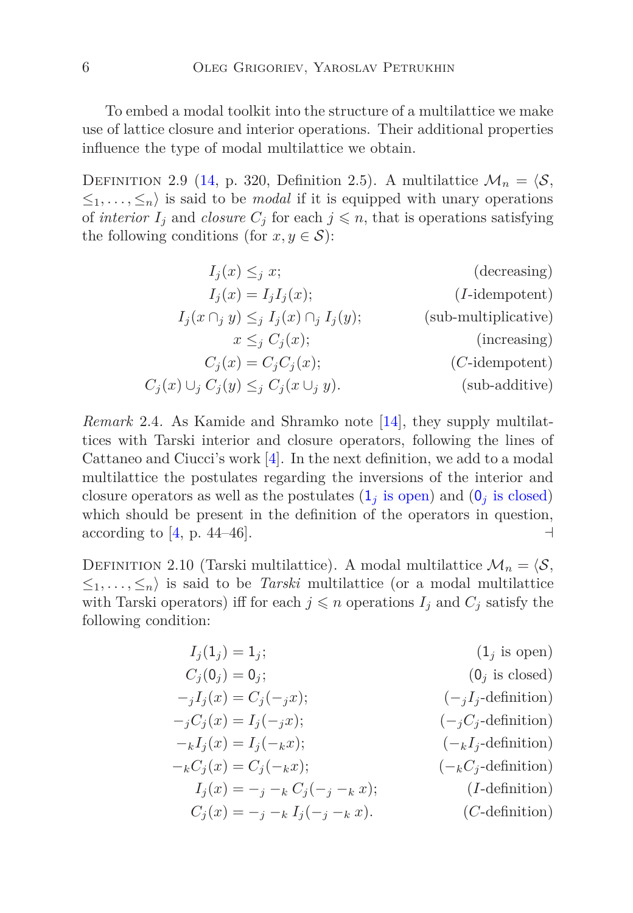To embed a modal toolkit into the structure of a multilattice we make use of lattice closure and interior operations. Their additional properties influence the type of modal multilattice we obtain.

<span id="page-5-10"></span>DEFINITION 2.9 [\(14](#page-29-4), p. 320, Definition 2.5). A multilattice  $\mathcal{M}_n = \langle \mathcal{S}, \rangle$  $\leq_1, \ldots, \leq_n$  is said to be *modal* if it is equipped with unary operations of *interior*  $I_j$  and *closure*  $C_j$  for each  $j \leq n$ , that is operations satisfying the following conditions (for  $x, y \in S$ ):

<span id="page-5-12"></span><span id="page-5-11"></span><span id="page-5-9"></span><span id="page-5-8"></span><span id="page-5-7"></span><span id="page-5-3"></span>
$$
I_j(x) \leq_j x;
$$
 (decreasing)  
\n
$$
I_j(x) = I_j I_j(x);
$$
 (I-idempotent)  
\n
$$
I_j(x \cap_j y) \leq_j I_j(x) \cap_j I_j(y);
$$
 (sub-multiplicative)  
\n
$$
x \leq_j C_j(x);
$$
 (increasing)  
\n
$$
C_j(x) \cup_j C_j(y) \leq_j C_j(x \cup_j y).
$$
 (sub-additive)

*Remark* 2.4*.* As Kamide and Shramko note [\[14\]](#page-29-4), they supply multilattices with Tarski interior and closure operators, following the lines of Cattaneo and Ciucci's work [\[4](#page-29-7)]. In the next definition, we add to a modal multilattice the postulates regarding the inversions of the interior and closure operators as well as the postulates  $(1<sub>j</sub>$  [is open\)](#page-5-0) and  $(0<sub>j</sub>$  [is closed\)](#page-5-1) which should be present in the definition of the operators in question, according to [\[4](#page-29-7), p. 44–46].  $\Box$ 

<span id="page-5-5"></span>DEFINITION 2.10 (Tarski multilattice). A modal multilattice  $\mathcal{M}_n = \langle \mathcal{S}, \rangle$  $\leq_1, \ldots, \leq_n$  is said to be *Tarski* multilattice (or a modal multilattice with Tarski operators) iff for each  $j \leq n$  operations  $I_j$  and  $C_j$  satisfy the following condition:

<span id="page-5-15"></span><span id="page-5-14"></span><span id="page-5-13"></span><span id="page-5-6"></span><span id="page-5-4"></span><span id="page-5-2"></span><span id="page-5-1"></span><span id="page-5-0"></span>
$$
I_j(1_j) = 1_j;
$$
\n
$$
C_j(0_j) = 0_j;
$$
\n
$$
I_j(x) = C_j(-jx);
$$
\n
$$
I_j(x) = I_j(-jx);
$$
\n
$$
I_j(x) = I_j(-kx);
$$
\n
$$
I_j(x) = -j - k
$$
\n
$$
I_j(x) = -j - k
$$
\n
$$
I_j(x) = -j - k
$$
\n
$$
I_j(-jx);
$$
\n
$$
I_j(x) = -j - k
$$
\n
$$
I_j(-jx);
$$
\n
$$
I_j(x) = -j - k
$$
\n
$$
I_j(-jx);
$$
\n
$$
I_j(x) = -j - k
$$
\n
$$
I_j(-jx);
$$
\n
$$
I_j(-jx);
$$
\n
$$
I_j(-jx);
$$
\n
$$
I_j(-jx);
$$
\n
$$
I_j(-jx);
$$
\n
$$
I_j(-jx);
$$
\n
$$
I_j(-jx);
$$
\n
$$
I_j(-jx);
$$
\n
$$
I_j(-jx);
$$
\n
$$
I_j(-jx);
$$
\n
$$
I_j(-jx);
$$
\n
$$
I_j(-jx);
$$
\n
$$
I_j(-jx);
$$
\n
$$
I_j(-jx);
$$
\n
$$
I_j(-jx);
$$
\n
$$
I_j(-jx);
$$
\n
$$
I_j(-jx);
$$
\n
$$
I_j(-jx);
$$
\n
$$
I_j(-jx);
$$
\n
$$
I_j(-jx);
$$
\n
$$
I_j(-jx);
$$
\n
$$
I_j(-jx);
$$
\n
$$
I_j(-jx);
$$
\n
$$
I_j(-jx);
$$
\n
$$
I_j(-jx);
$$
\n
$$
I_j(-jx);
$$
\n
$$
I_j(-jx);
$$
\n
$$
I_j(-jx);
$$
\n
$$
I_j(-jx);
$$
\n
$$
I_j(-jx);
$$
\n
$$
I_j(-jx);
$$
\n<math display="</math>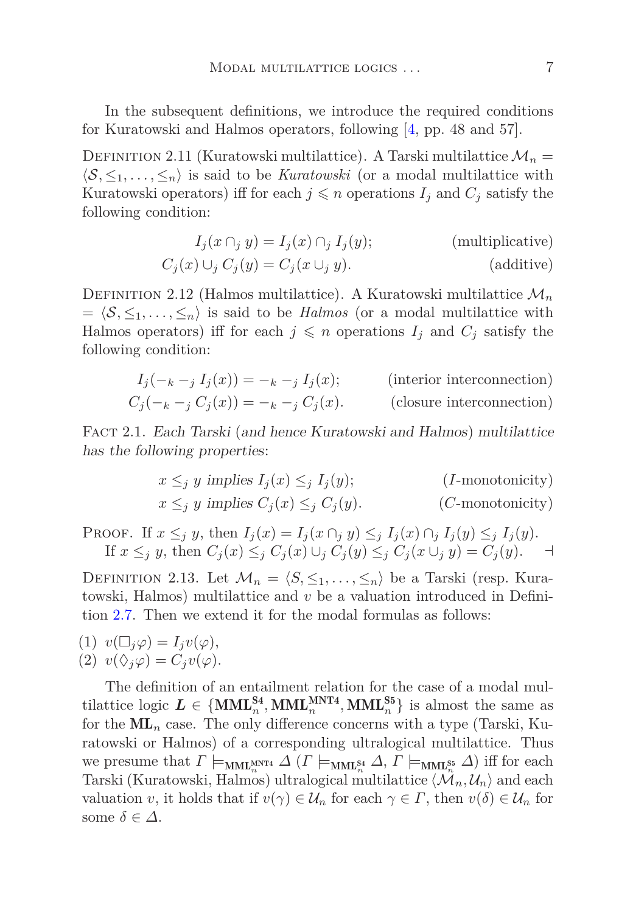<span id="page-6-4"></span>In the subsequent definitions, we introduce the required conditions for Kuratowski and Halmos operators, following [\[4,](#page-29-7) pp. 48 and 57].

DEFINITION 2.11 (Kuratowski multilattice). A Tarski multilattice  $\mathcal{M}_n =$  $\langle S, \leq_1, \ldots, \leq_n \rangle$  is said to be *Kuratowski* (or a modal multilattice with Kuratowski operators) iff for each  $j \leq n$  operations  $I_j$  and  $C_j$  satisfy the following condition:

<span id="page-6-7"></span><span id="page-6-5"></span>
$$
I_j(x \cap_j y) = I_j(x) \cap_j I_j(y);
$$
 (multiplicative)  

$$
C_j(x) \cup_j C_j(y) = C_j(x \cup_j y).
$$
 (additive)

<span id="page-6-8"></span>DEFINITION 2.12 (Halmos multilattice). A Kuratowski multilattice  $\mathcal{M}_n$  $= \langle S, \leq_1, \ldots, \leq_n \rangle$  is said to be *Halmos* (or a modal multilattice with Halmos operators) iff for each  $j \leq n$  operations  $I_j$  and  $C_j$  satisfy the following condition:

$$
I_j(-k - j I_j(x)) = -k - j I_j(x);
$$
 (interior interconnection)  

$$
C_j(-k - j C_j(x)) = -k - j C_j(x).
$$
 (closure interconnection)

Fact 2.1. Each Tarski (and hence Kuratowski and Halmos) multilattice has the following properties:

> <span id="page-6-9"></span><span id="page-6-6"></span><span id="page-6-3"></span><span id="page-6-2"></span> $x \leq_i y$  implies  $I_i(x) \leq_i I_i(y)$ ; (*I*-monotonicity)  $x \leq j$  *y* implies  $C_j(x) \leq j$   $C_j(y)$ . (*C*-monotonicity)

PROOF. If  $x \leq_i y$ , then  $I_i(x) = I_i(x \cap_i y) \leq_i I_i(x) \cap_i I_i(y) \leq_i I_i(y)$ . If  $x \leq_j y$ , then  $C_j(x) \leq_j C_j(x) \cup_j C_j(y) \leq_j C_j(x \cup_j y) = C_j(y)$ .

<span id="page-6-1"></span>DEFINITION 2.13. Let  $\mathcal{M}_n = \langle S, \leq_1, \ldots, \leq_n \rangle$  be a Tarski (resp. Kuratowski, Halmos) multilattice and *v* be a valuation introduced in Definition [2.7.](#page-3-0) Then we extend it for the modal formulas as follows:

 $v(\Box_i \varphi) = I_i v(\varphi),$  $(2)$   $v(\Diamond_i \varphi) = C_i v(\varphi).$ 

<span id="page-6-0"></span>The definition of an entailment relation for the case of a modal multilattice logic  $L \in \{MML_n^{S4}, MML_n^{MNT4}, MML_n^{S5}\}$  is almost the same as for the  $ML_n$  case. The only difference concerns with a type (Tarski, Kuratowski or Halmos) of a corresponding ultralogical multilattice. Thus we presume that  $\Gamma \models_{\text{MML}_{n}^{\text{MNT4}}} \Delta (\Gamma \models_{\text{MML}_{n}^{\text{S4}}} \Delta, \Gamma \models_{\text{MML}_{n}^{\text{S5}}} \Delta)$  iff for each Tarski (Kuratowski, Halmos) ultralogical multilattice  $\langle \mathcal{M}_n, \mathcal{U}_n \rangle$  and each valuation *v*, it holds that if  $v(\gamma) \in \mathcal{U}_n$  for each  $\gamma \in \Gamma$ , then  $v(\delta) \in \mathcal{U}_n$  for some  $\delta \in \Delta$ .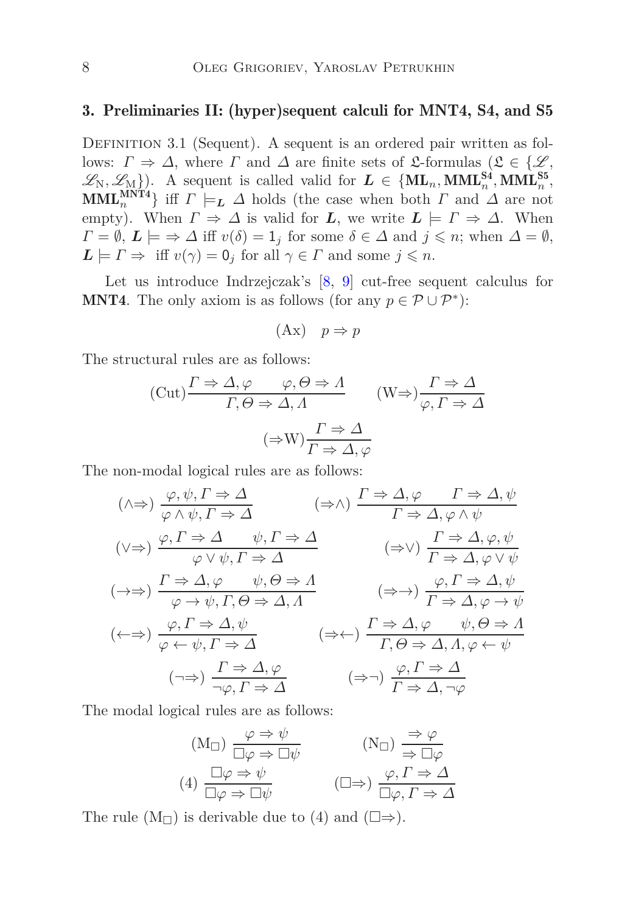### 3. Preliminaries II: (hyper)sequent calculi for MNT4, S4, and S5

DEFINITION 3.1 (Sequent). A sequent is an ordered pair written as follows:  $\Gamma \Rightarrow \Delta$ , where  $\Gamma$  and  $\Delta$  are finite sets of £-formulas ( $\mathfrak{L} \in {\{\mathscr{L}, \mathscr{L}\}}$  $\mathscr{L}_N, \mathscr{L}_M$ . A sequent is called valid for  $L \in \{ML_n, MML_n^{S4}, MML_n^{S5}\}$ **MML**<sup>MNT4</sup></sub>} iff  $\Gamma \models_L \Delta$  holds (the case when both  $\Gamma$  and  $\Delta$  are not empty). When  $\Gamma \Rightarrow \Delta$  is valid for *L*, we write  $L \models \Gamma \Rightarrow \Delta$ . When  $\Gamma = \emptyset, L \models \Rightarrow \Delta \text{ iff } v(\delta) = 1_j \text{ for some } \delta \in \Delta \text{ and } j \leqslant n; \text{ when } \Delta = \emptyset,$  $L \models \Gamma \Rightarrow \text{ iff } v(\gamma) = 0_j \text{ for all } \gamma \in \Gamma \text{ and some } j \leq n.$ 

Let us introduce Indrzejczak's [\[8,](#page-29-8) [9\]](#page-29-9) cut-free sequent calculus for **MNT4**. The only axiom is as follows (for any  $p \in \mathcal{P} \cup \mathcal{P}^*$ ):

$$
(Ax) \quad p \Rightarrow p
$$

The structural rules are as follows:

$$
\begin{aligned} \n(\text{Cut}) \frac{\Gamma \Rightarrow \Delta, \varphi & \varphi, \Theta \Rightarrow \Lambda}{\Gamma, \Theta \Rightarrow \Delta, \Lambda} \qquad (\text{W} \Rightarrow) \frac{\Gamma \Rightarrow \Delta}{\varphi, \Gamma \Rightarrow \Delta} \\ \n(\Rightarrow \text{W}) \frac{\Gamma \Rightarrow \Delta}{\Gamma \Rightarrow \Delta, \varphi} \n\end{aligned}
$$

The non-modal logical rules are as follows:

$$
(\land \Rightarrow) \frac{\varphi, \psi, \Gamma \Rightarrow \Delta}{\varphi \land \psi, \Gamma \Rightarrow \Delta} \qquad (\Rightarrow \land) \frac{\Gamma \Rightarrow \Delta, \varphi \qquad \Gamma \Rightarrow \Delta, \psi}{\Gamma \Rightarrow \Delta, \varphi \land \psi}
$$

$$
(\lor \Rightarrow) \frac{\varphi, \Gamma \Rightarrow \Delta}{\varphi \lor \psi, \Gamma \Rightarrow \Delta} \qquad (\Rightarrow \lor) \frac{\Gamma \Rightarrow \Delta, \varphi, \psi}{\Gamma \Rightarrow \Delta, \varphi \lor \psi}
$$

$$
(\rightarrow \Rightarrow) \frac{\Gamma \Rightarrow \Delta, \varphi \qquad \psi, \Theta \Rightarrow \Lambda}{\varphi \to \psi, \Gamma, \Theta \Rightarrow \Delta, \Lambda} \qquad (\Rightarrow \rightarrow) \frac{\varphi, \Gamma \Rightarrow \Delta, \psi}{\Gamma \Rightarrow \Delta, \varphi \lor \psi}
$$

$$
(\leftrightarrow \Rightarrow) \frac{\varphi, \Gamma \Rightarrow \Delta, \psi}{\varphi \leftarrow \psi, \Gamma \Rightarrow \Delta} \qquad (\Rightarrow \leftarrow) \frac{\Gamma \Rightarrow \Delta, \varphi \qquad \psi, \Theta \Rightarrow \Lambda}{\Gamma, \Theta \Rightarrow \Delta, \Lambda, \varphi \leftarrow \psi}
$$

$$
(\rightarrow \Rightarrow) \frac{\Gamma \Rightarrow \Delta, \varphi}{\neg \varphi, \Gamma \Rightarrow \Delta} \qquad (\Rightarrow \leftarrow) \frac{\varphi, \Gamma \Rightarrow \Delta}{\Gamma \Rightarrow \Delta, \varphi, \psi}
$$

$$
(\Rightarrow \neg) \frac{\varphi, \Gamma \Rightarrow \Delta}{\Gamma \Rightarrow \Delta, \neg \varphi}
$$

The modal logical rules are as follows:

$$
(M_{\Box}) \frac{\varphi \Rightarrow \psi}{\Box \varphi \Rightarrow \Box \psi} \qquad (N_{\Box}) \frac{\Rightarrow \varphi}{\Rightarrow \Box \varphi}
$$
  

$$
(4) \frac{\Box \varphi \Rightarrow \psi}{\Box \varphi \Rightarrow \Box \psi} \qquad (\Box \Rightarrow) \frac{\varphi, \Gamma \Rightarrow \Delta}{\Box \varphi, \Gamma \Rightarrow \Delta}
$$

The rule  $(M_{\square})$  is derivable due to (4) and  $(\square \Rightarrow)$ .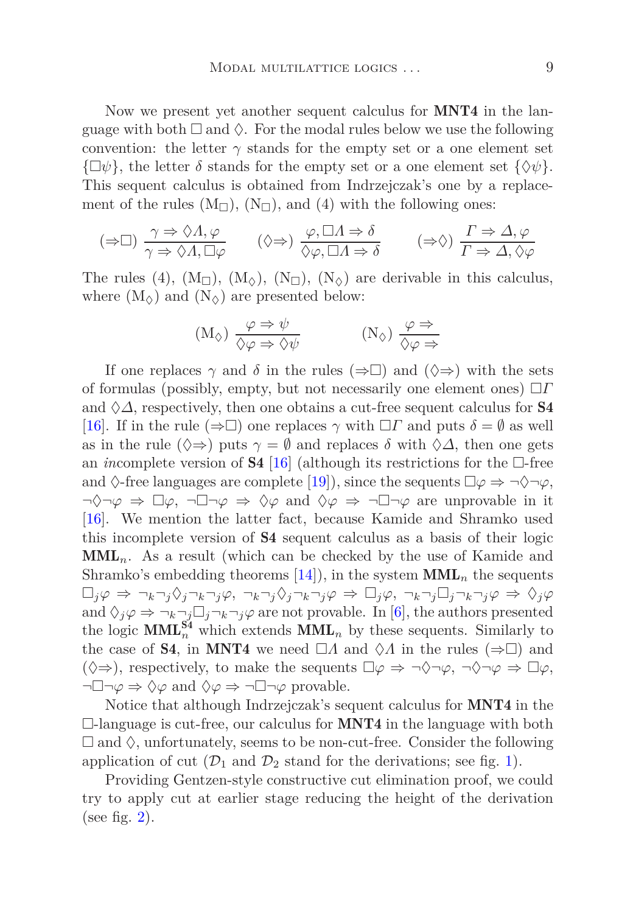Now we present yet another sequent calculus for **MNT4** in the language with both  $\Box$  and  $\Diamond$ . For the modal rules below we use the following convention: the letter  $\gamma$  stands for the empty set or a one element set  $\{\Box \psi\},\$  the letter  $\delta$  stands for the empty set or a one element set  $\{\Diamond \psi\}.$ This sequent calculus is obtained from Indrzejczak's one by a replacement of the rules  $(M_{\square})$ ,  $(N_{\square})$ , and  $(4)$  with the following ones:

$$
(\Rightarrow \Box) \frac{\gamma \Rightarrow \Diamond \Lambda, \varphi}{\gamma \Rightarrow \Diamond \Lambda, \Box \varphi} \qquad (\Diamond \Rightarrow) \frac{\varphi, \Box \Lambda \Rightarrow \delta}{\Diamond \varphi, \Box \Lambda \Rightarrow \delta} \qquad (\Rightarrow \Diamond) \frac{\Gamma \Rightarrow \Delta, \varphi}{\Gamma \Rightarrow \Delta, \Diamond \varphi}
$$

The rules (4),  $(M_{\square})$ ,  $(M_{\lozenge})$ ,  $(N_{\square})$ ,  $(N_{\lozenge})$  are derivable in this calculus, where  $(M_{\varphi})$  and  $(N_{\varphi})$  are presented below:

$$
(M_{\Diamond}) \frac{\varphi \Rightarrow \psi}{\Diamond \varphi \Rightarrow \Diamond \psi} \qquad (N_{\Diamond}) \frac{\varphi \Rightarrow}{\Diamond \varphi \Rightarrow}
$$

If one replaces  $\gamma$  and  $\delta$  in the rules ( $\Rightarrow$ ) and ( $\Diamond \Rightarrow$ ) with the sets of formulas (possibly, empty, but not necessarily one element ones) *Γ* and  $\Diamond \Delta$ , respectively, then one obtains a cut-free sequent calculus for **S4** [\[16\]](#page-29-10). If in the rule ( $\Rightarrow \Box$ ) one replaces  $\gamma$  with  $\Box \Gamma$  and puts  $\delta = \emptyset$  as well as in the rule  $(\Diamond \Rightarrow)$  puts  $\gamma = \emptyset$  and replaces  $\delta$  with  $\Diamond \Delta$ , then one gets an *in*complete version of **S4** [\[16\]](#page-29-10) (although its restrictions for the  $\Box$ -free and  $\Diamond$ -free languages are complete [\[19\]](#page-30-3)), since the sequents  $\Box \varphi \Rightarrow \neg \Diamond \neg \varphi$ ,  $\neg \Diamond \neg \varphi \Rightarrow \Box \varphi$ ,  $\neg \Box \neg \varphi \Rightarrow \Diamond \varphi$  and  $\Diamond \varphi \Rightarrow \neg \Box \neg \varphi$  are unprovable in it [\[16\]](#page-29-10). We mention the latter fact, because Kamide and Shramko used this incomplete version of S4 sequent calculus as a basis of their logic  $\text{MML}_n$ . As a result (which can be checked by the use of Kamide and Shramko's embedding theorems  $[14]$ , in the system  $MML_n$  the sequents  $\Box_j \varphi \Rightarrow \neg_k \neg_j \Diamond_j \neg_k \neg_j \varphi$ ,  $\neg_k \neg_j \Diamond_j \neg_k \neg_j \varphi \Rightarrow \Box_j \varphi$ ,  $\neg_k \neg_j \Box_j \neg_k \neg_j \varphi \Rightarrow \Diamond_j \varphi$ and  $\Diamond_i \varphi \Rightarrow \neg_k \neg_i \Box_j \neg_k \neg_j \varphi$  are not provable. In [\[6](#page-29-5)], the authors presented the logic  $\text{MML}_{n}^{\text{S4}}$  which extends  $\text{MML}_{n}$  by these sequents. Similarly to the case of **S4**, in **MNT4** we need  $\Box A$  and  $\Diamond A$  in the rules ( $\Rightarrow$  $\Box$ ) and  $(\Diamond \Rightarrow)$ , respectively, to make the sequents  $\Box \varphi \Rightarrow \neg \Diamond \neg \varphi$ ,  $\neg \Diamond \neg \varphi \Rightarrow \Box \varphi$ ,  $\neg \Box \neg \varphi \Rightarrow \Diamond \varphi$  and  $\Diamond \varphi \Rightarrow \neg \Box \neg \varphi$  provable.

Notice that although Indrzejczak's sequent calculus for MNT4 in the  $\Box$ -language is cut-free, our calculus for **MNT4** in the language with both  $\Box$  and  $\Diamond$ , unfortunately, seems to be non-cut-free. Consider the following application of cut  $(\mathcal{D}_1$  and  $\mathcal{D}_2$  stand for the derivations; see fig. [1\)](#page-9-0).

Providing Gentzen-style constructive cut elimination proof, we could try to apply cut at earlier stage reducing the height of the derivation (see fig.  $2$ ).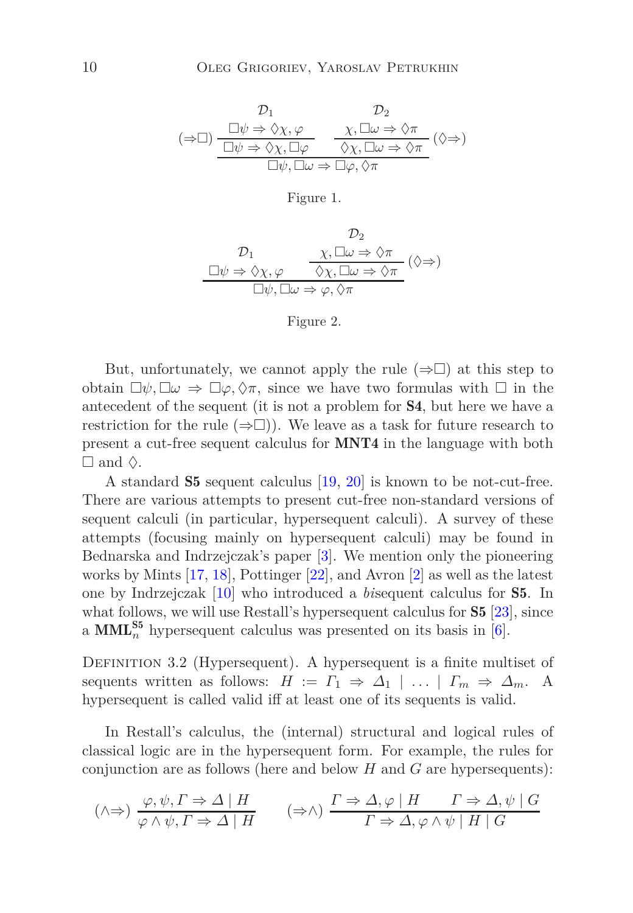$$
\begin{array}{ccc}\n & \mathcal{D}_1 & \mathcal{D}_2 \\
(\Rightarrow \Box) & \frac{\Box \psi \Rightarrow \Diamond \chi, \varphi}{\Box \psi \Rightarrow \Diamond \chi, \Box \varphi} & \frac{\chi, \Box \omega \Rightarrow \Diamond \pi}{\Diamond \chi, \Box \omega \Rightarrow \Diamond \pi} \\
 & \frac{\Box \psi \Rightarrow \Diamond \chi, \Box \varphi}{\Box \psi, \Box \omega \Rightarrow \Box \varphi, \Diamond \pi}\n\end{array} (\Diamond \Rightarrow)
$$

#### <span id="page-9-0"></span>Figure 1.

$$
\begin{array}{ccc}\n & \mathcal{D}_2 \\
\mathcal{D}_1 & \chi, \Box \omega \Rightarrow \Diamond \pi \\
\Box \psi \Rightarrow \Diamond \chi, \varphi & \Diamond \chi, \Box \omega \Rightarrow \Diamond \pi \\
\Box \psi, \Box \omega \Rightarrow \varphi, \Diamond \pi\n\end{array} (\Diamond \Rightarrow)
$$

#### <span id="page-9-1"></span>Figure 2.

But, unfortunately, we cannot apply the rule  $(\Rightarrow)$  at this step to obtain  $\Box \psi, \Box \omega \Rightarrow \Box \varphi, \Diamond \pi$ , since we have two formulas with  $\Box$  in the antecedent of the sequent (it is not a problem for S4, but here we have a restriction for the rule  $(\Rightarrow \Box)$ . We leave as a task for future research to present a cut-free sequent calculus for MNT4 in the language with both  $\Box$  and  $\Diamond$ .

A standard S5 sequent calculus [\[19](#page-30-3), [20](#page-30-4)] is known to be not-cut-free. There are various attempts to present cut-free non-standard versions of sequent calculi (in particular, hypersequent calculi). A survey of these attempts (focusing mainly on hypersequent calculi) may be found in Bednarska and Indrzejczak's paper [\[3\]](#page-28-2). We mention only the pioneering works by Mints [\[17,](#page-29-11) [18](#page-30-5)], Pottinger [\[22\]](#page-30-6), and Avron [\[2\]](#page-28-3) as well as the latest one by Indrzejczak [\[10\]](#page-29-12) who introduced a *bi*sequent calculus for S5. In what follows, we will use Restall's hypersequent calculus for **S5** [\[23](#page-30-7)], since a  $\text{MML}_n^{\text{S5}}$  hypersequent calculus was presented on its basis in [\[6\]](#page-29-5).

DEFINITION 3.2 (Hypersequent). A hypersequent is a finite multiset of sequents written as follows:  $H := \Gamma_1 \Rightarrow \Delta_1 \mid \ldots \mid \Gamma_m \Rightarrow \Delta_m$ . A hypersequent is called valid iff at least one of its sequents is valid.

In Restall's calculus, the (internal) structural and logical rules of classical logic are in the hypersequent form. For example, the rules for conjunction are as follows (here and below *H* and *G* are hypersequents):

$$
(\land \Rightarrow) \frac{\varphi, \psi, \Gamma \Rightarrow \Delta \mid H}{\varphi \land \psi, \Gamma \Rightarrow \Delta \mid H} \qquad (\Rightarrow \land) \frac{\Gamma \Rightarrow \Delta, \varphi \mid H \qquad \Gamma \Rightarrow \Delta, \psi \mid G}{\Gamma \Rightarrow \Delta, \varphi \land \psi \mid H \mid G}
$$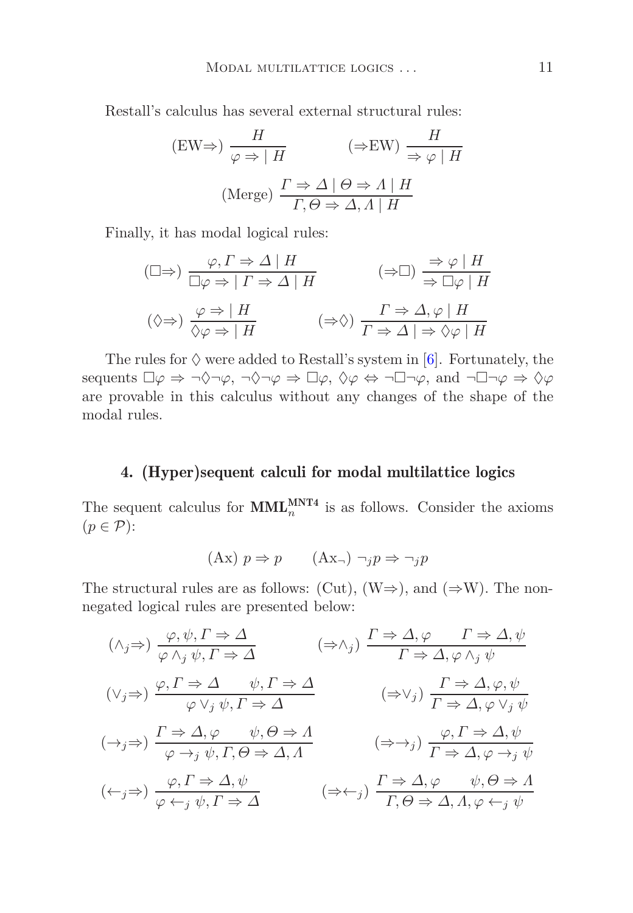Restall's calculus has several external structural rules:

$$
\text{(EW}\Rightarrow) \frac{H}{\varphi \Rightarrow |H} \qquad (\Rightarrow \text{EW}) \frac{H}{\Rightarrow \varphi |H}
$$
\n
$$
\text{(Merge)} \frac{\Gamma \Rightarrow \Delta | \Theta \Rightarrow \Lambda | H}{\Gamma, \Theta \Rightarrow \Delta, \Lambda | H}
$$

Finally, it has modal logical rules:

$$
(\Box \Rightarrow) \frac{\varphi, \Gamma \Rightarrow \Delta \mid H}{\Box \varphi \Rightarrow \mid \Gamma \Rightarrow \Delta \mid H} \qquad (\Rightarrow \Box) \frac{\Rightarrow \varphi \mid H}{\Rightarrow \Box \varphi \mid H}
$$
  

$$
(\Diamond \Rightarrow) \frac{\varphi \Rightarrow \mid H}{\Diamond \varphi \Rightarrow \mid H} \qquad (\Rightarrow \Diamond) \frac{\Gamma \Rightarrow \Delta, \varphi \mid H}{\Gamma \Rightarrow \Delta \mid \Rightarrow \Diamond \varphi \mid H}
$$

<span id="page-10-0"></span>The rules for  $\Diamond$  were added to Restall's system in [\[6](#page-29-5)]. Fortunately, the sequents  $\Box \varphi \Rightarrow \neg \Diamond \neg \varphi$ ,  $\neg \Diamond \neg \varphi \Rightarrow \Box \varphi$ ,  $\Diamond \varphi \Leftrightarrow \neg \Box \neg \varphi$ , and  $\neg \Box \neg \varphi \Rightarrow \Diamond \varphi$ are provable in this calculus without any changes of the shape of the modal rules.

# 4. (Hyper)sequent calculi for modal multilattice logics

The sequent calculus for  $\text{MML}_{n}^{\text{MNT4}}$  is as follows. Consider the axioms  $(p \in \mathcal{P})$ :

$$
(Ax) p \Rightarrow p \qquad (Ax_{\neg}) \neg_j p \Rightarrow \neg_j p
$$

The structural rules are as follows: (Cut), (W⇒), and ( $\Rightarrow$ W). The nonnegated logical rules are presented below:

$$
(\wedge_{j} \Rightarrow) \frac{\varphi, \psi, \Gamma \Rightarrow \Delta}{\varphi \wedge_{j} \psi, \Gamma \Rightarrow \Delta} \qquad (\Rightarrow \wedge_{j}) \frac{\Gamma \Rightarrow \Delta, \varphi \qquad \Gamma \Rightarrow \Delta, \psi}{\Gamma \Rightarrow \Delta, \varphi \wedge_{j} \psi}
$$
  

$$
(\vee_{j} \Rightarrow) \frac{\varphi, \Gamma \Rightarrow \Delta}{\varphi \vee_{j} \psi, \Gamma \Rightarrow \Delta} \qquad (\Rightarrow \vee_{j}) \frac{\Gamma \Rightarrow \Delta, \varphi, \psi}{\Gamma \Rightarrow \Delta, \varphi \vee_{j} \psi}
$$
  

$$
(\rightarrow_{j} \Rightarrow) \frac{\Gamma \Rightarrow \Delta, \varphi \qquad \psi, \Theta \Rightarrow \Lambda}{\varphi \rightarrow_{j} \psi, \Gamma, \Theta \Rightarrow \Delta, \Lambda} \qquad (\Rightarrow \rightarrow_{j}) \frac{\varphi, \Gamma \Rightarrow \Delta, \psi}{\Gamma \Rightarrow \Delta, \varphi \rightarrow_{j} \psi}
$$
  

$$
(\leftarrow_{j} \Rightarrow) \frac{\varphi, \Gamma \Rightarrow \Delta, \psi}{\varphi \leftarrow_{j} \psi, \Gamma \Rightarrow \Delta} \qquad (\Rightarrow \leftarrow_{j}) \frac{\Gamma \Rightarrow \Delta, \varphi \qquad \psi, \Theta \Rightarrow \Lambda}{\Gamma, \Theta \Rightarrow \Delta, \Lambda, \varphi \leftarrow_{j} \psi}
$$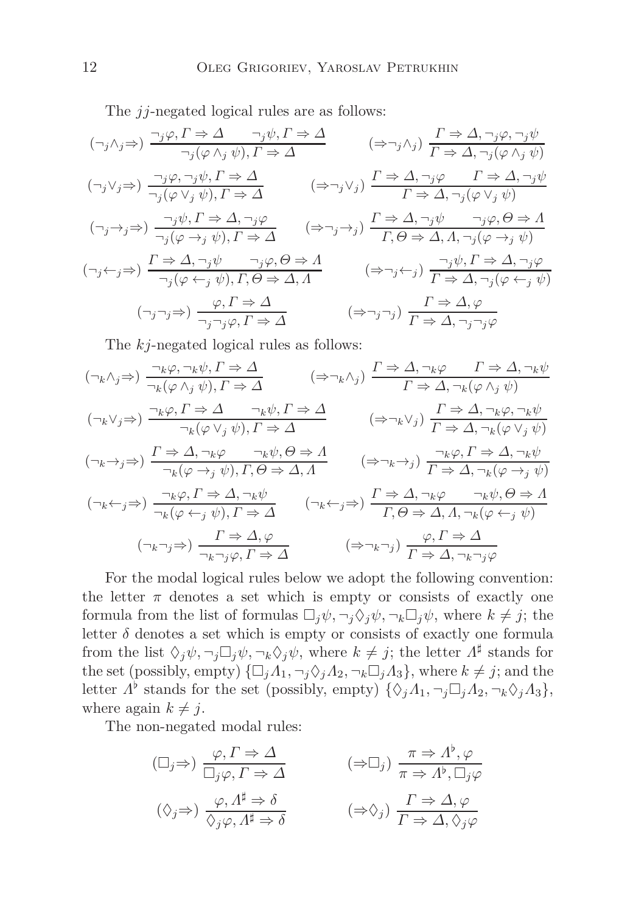The *jj*-negated logical rules are as follows:

$$
(\neg_j \land_j \Rightarrow) \frac{\neg_j \varphi, \Gamma \Rightarrow \Delta \qquad \neg_j \psi, \Gamma \Rightarrow \Delta}{\neg_j (\varphi \land_j \psi), \Gamma \Rightarrow \Delta} \qquad (\Rightarrow \neg_j \land_j) \frac{\Gamma \Rightarrow \Delta, \neg_j \varphi, \neg_j \psi}{\Gamma \Rightarrow \Delta, \neg_j (\varphi \land_j \psi)}
$$
  

$$
(\neg_j \lor_j \Rightarrow) \frac{\neg_j \varphi, \neg_j \psi, \Gamma \Rightarrow \Delta}{\neg_j (\varphi \lor_j \psi), \Gamma \Rightarrow \Delta} \qquad (\Rightarrow \neg_j \lor_j) \frac{\Gamma \Rightarrow \Delta, \neg_j \varphi \qquad \Gamma \Rightarrow \Delta, \neg_j \psi}{\Gamma \Rightarrow \Delta, \neg_j (\varphi \lor_j \psi)}
$$
  

$$
(\neg_j \rightarrow_j \Rightarrow) \frac{\neg_j \psi, \Gamma \Rightarrow \Delta, \neg_j \varphi}{\neg_j (\varphi \rightarrow_j \psi), \Gamma \Rightarrow \Delta} \qquad (\Rightarrow \neg_j \rightarrow_j) \frac{\Gamma \Rightarrow \Delta, \neg_j \psi}{\Gamma, \Theta \Rightarrow \Delta, \Lambda, \neg_j (\varphi \rightarrow_j \psi)}
$$
  

$$
(\neg_j \leftarrow_j \Rightarrow) \frac{\Gamma \Rightarrow \Delta, \neg_j \psi}{\neg_j (\varphi \leftrightarrow_j \psi), \Gamma, \Theta \Rightarrow \Delta, \Lambda} \qquad (\Rightarrow \neg_j \leftarrow_j) \frac{\neg_j \psi, \Gamma \Rightarrow \Delta, \neg_j \varphi}{\Gamma \Rightarrow \Delta, \neg_j (\varphi \leftarrow_j \psi)}
$$
  

$$
(\neg_j \neg_j \Rightarrow) \frac{\varphi, \Gamma \Rightarrow \Delta}{\neg_j \neg_j \varphi, \Gamma \Rightarrow \Delta} \qquad (\Rightarrow \neg_j \neg_j) \frac{\Gamma \Rightarrow \Delta, \varphi}{\Gamma \Rightarrow \Delta, \neg_j (\varphi \leftarrow_j \psi)}
$$

The *kj*-negated logical rules as follows:

$$
(\neg_k \land_j \Rightarrow) \frac{\neg_k \varphi, \neg_k \psi, \Gamma \Rightarrow \Delta}{\neg_k(\varphi \land_j \psi), \Gamma \Rightarrow \Delta} \qquad (\Rightarrow \neg_k \land_j) \frac{\Gamma \Rightarrow \Delta, \neg_k \varphi \qquad \Gamma \Rightarrow \Delta, \neg_k \psi}{\Gamma \Rightarrow \Delta, \neg_k(\varphi \land_j \psi)}
$$
  

$$
(\neg_k \lor_j \Rightarrow) \frac{\neg_k \varphi, \Gamma \Rightarrow \Delta}{\neg_k(\varphi \lor_j \psi), \Gamma \Rightarrow \Delta} \qquad (\Rightarrow \neg_k \lor_j) \frac{\Gamma \Rightarrow \Delta, \neg_k(\varphi \land_j \psi)}{\Gamma \Rightarrow \Delta, \neg_k(\varphi \lor_j \psi)}
$$
  

$$
(\neg_k \rightarrow_j \Rightarrow) \frac{\Gamma \Rightarrow \Delta, \neg_k \varphi \qquad \neg_k \psi, \Theta \Rightarrow \Lambda}{\neg_k(\varphi \rightarrow_j \psi), \Gamma, \Theta \Rightarrow \Delta, \Lambda} \qquad (\Rightarrow \neg_k \rightarrow_j) \frac{\neg_k \varphi, \Gamma \Rightarrow \Delta, \neg_k \psi}{\Gamma \Rightarrow \Delta, \neg_k(\varphi \rightarrow_j \psi)}
$$
  

$$
(\neg_k \leftarrow_j \Rightarrow) \frac{\neg_k \varphi, \Gamma \Rightarrow \Delta, \neg_k \psi}{\neg_k(\varphi \leftarrow_j \psi), \Gamma \Rightarrow \Delta} \qquad (\neg_k \leftarrow_j \Rightarrow) \frac{\Gamma \Rightarrow \Delta, \neg_k \varphi \qquad \neg_k \psi, \Theta \Rightarrow \Lambda}{\Gamma, \Theta \Rightarrow \Delta, \Lambda, \neg_k(\varphi \leftarrow_j \psi)}
$$
  

$$
(\neg_k \neg_j \Rightarrow) \frac{\Gamma \Rightarrow \Delta, \varphi}{\neg_k \neg_j \varphi, \Gamma \Rightarrow \Delta} \qquad (\Rightarrow \neg_k \neg_j) \frac{\varphi, \Gamma \Rightarrow \Delta}{\Gamma \Rightarrow \Delta, \neg_k \neg_j \varphi}
$$

For the modal logical rules below we adopt the following convention: the letter  $\pi$  denotes a set which is empty or consists of exactly one formula from the list of formulas  $\Box_i \psi$ ,  $\neg_i \Diamond_i \psi$ ,  $\neg_k \Box_i \psi$ , where  $k \neq j$ ; the letter  $\delta$  denotes a set which is empty or consists of exactly one formula from the list  $\Diamond_j \psi, \neg_j \Box_j \psi, \neg_k \Diamond_j \psi$ , where  $k \neq j$ ; the letter  $\Lambda^{\sharp}$  stands for the set (possibly, empty)  $\{\Box_j A_1, \neg_j \Diamond_j A_2, \neg_k \Box_j A_3\}$ , where  $k \neq j$ ; and the letter  $\Lambda^{\flat}$  stands for the set (possibly, empty)  $\{\Diamond_j \Lambda_1, \neg_j \Box_j \Lambda_2, \neg_k \Diamond_j \Lambda_3\},\$ where again  $k \neq j$ .

The non-negated modal rules:

$$
(\Box_j \Rightarrow) \frac{\varphi, \Gamma \Rightarrow \Delta}{\Box_j \varphi, \Gamma \Rightarrow \Delta} \qquad (\Rightarrow \Box_j) \frac{\pi \Rightarrow \Lambda^{\flat}, \varphi}{\pi \Rightarrow \Lambda^{\flat}, \Box_j \varphi}
$$
  

$$
(\Diamond_j \Rightarrow) \frac{\varphi, \Lambda^{\sharp} \Rightarrow \delta}{\Diamond_j \varphi, \Lambda^{\sharp} \Rightarrow \delta} \qquad (\Rightarrow \Diamond_j) \frac{\Gamma \Rightarrow \Delta, \varphi}{\Gamma \Rightarrow \Delta, \Diamond_j \varphi}
$$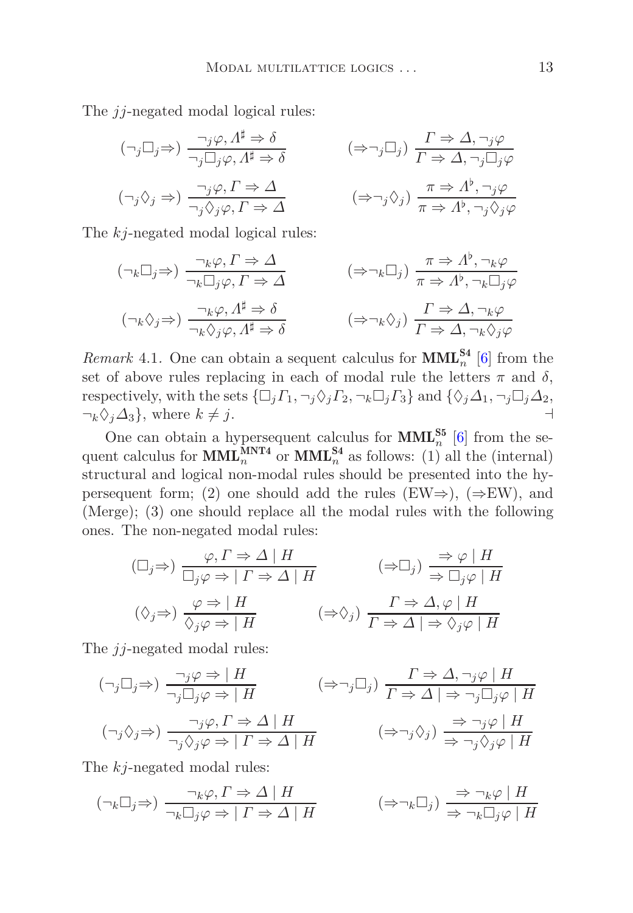The *jj*-negated modal logical rules:

$$
(\neg_j \Box_j \Rightarrow) \frac{\neg_j \varphi, \Lambda^{\sharp} \Rightarrow \delta}{\neg_j \Box_j \varphi, \Lambda^{\sharp} \Rightarrow \delta} \qquad (\Rightarrow \neg_j \Box_j) \frac{\Gamma \Rightarrow \Delta, \neg_j \varphi}{\Gamma \Rightarrow \Delta, \neg_j \Box_j \varphi}
$$
  

$$
(\neg_j \Diamond_j \Rightarrow) \frac{\neg_j \varphi, \Gamma \Rightarrow \Delta}{\neg_j \Diamond_j \varphi, \Gamma \Rightarrow \Delta} \qquad (\Rightarrow \neg_j \Diamond_j) \frac{\pi \Rightarrow \Lambda^{\flat}, \neg_j \varphi}{\pi \Rightarrow \Lambda^{\flat}, \neg_j \Diamond_j \varphi}
$$

The *kj*-negated modal logical rules:

$$
(\neg_k \Box_j \Rightarrow) \frac{\neg_k \varphi, \Gamma \Rightarrow \Delta}{\neg_k \Box_j \varphi, \Gamma \Rightarrow \Delta} \qquad (\Rightarrow \neg_k \Box_j) \frac{\pi \Rightarrow \Lambda^{\flat}, \neg_k \varphi}{\pi \Rightarrow \Lambda^{\flat}, \neg_k \Box_j \varphi}
$$
  

$$
(\neg_k \Diamond_j \Rightarrow) \frac{\neg_k \varphi, \Lambda^{\sharp} \Rightarrow \delta}{\neg_k \Diamond_j \varphi, \Lambda^{\sharp} \Rightarrow \delta} \qquad (\Rightarrow \neg_k \Diamond_j) \frac{\Gamma \Rightarrow \Delta, \neg_k \varphi}{\Gamma \Rightarrow \Delta, \neg_k \Diamond_j \varphi}
$$

<span id="page-12-0"></span>*Remark* 4.1. One can obtain a sequent calculus for  $\text{MML}_n^{\text{S4}}$  [\[6](#page-29-5)] from the set of above rules replacing in each of modal rule the letters  $\pi$  and  $\delta$ , respectively, with the sets  $\{\Box_j \Gamma_1, \neg_j \Diamond_j \Gamma_2, \neg_k \Box_j \Gamma_3\}$  and  $\{\Diamond_j \Delta_1, \neg_j \Box_j \Delta_2,$  $\neg_k \Diamond_j \Delta_3$ , where  $k \neq j$ .

One can obtain a hypersequent calculus for  $\text{MML}_{n}^{\text{S5}}$  [\[6\]](#page-29-5) from the sequent calculus for  $\text{MML}_{n}^{\text{MNT4}}$  or  $\text{MML}_{n}^{\text{S4}}$  as follows: (1) all the (internal) structural and logical non-modal rules should be presented into the hypersequent form; (2) one should add the rules (EW⇒), ( $\Rightarrow$ EW), and (Merge); (3) one should replace all the modal rules with the following ones. The non-negated modal rules:

$$
(\Box_j \Rightarrow) \frac{\varphi, \Gamma \Rightarrow \Delta \mid H}{\Box_j \varphi \Rightarrow \Gamma \Rightarrow \Delta \mid H} \qquad (\Rightarrow \Box_j) \frac{\Rightarrow \varphi \mid H}{\Rightarrow \Box_j \varphi \mid H}
$$
  

$$
(\Diamond_j \Rightarrow) \frac{\varphi \Rightarrow \mid H}{\Diamond_j \varphi \Rightarrow \mid H} \qquad (\Rightarrow \Diamond_j) \frac{\Gamma \Rightarrow \Delta, \varphi \mid H}{\Gamma \Rightarrow \Delta \mid \Rightarrow \Diamond_j \varphi \mid H}
$$

The *jj*-negated modal rules:

$$
(\neg_j \Box_j \Rightarrow) \frac{\neg_j \varphi \Rightarrow |H}{\neg_j \Box_j \varphi \Rightarrow |H} \qquad (\Rightarrow \neg_j \Box_j) \frac{\Gamma \Rightarrow \Delta, \neg_j \varphi |H}{\Gamma \Rightarrow \Delta | \Rightarrow \neg_j \Box_j \varphi |H}
$$
  

$$
(\neg_j \Diamond_j \Rightarrow) \frac{\neg_j \varphi, \Gamma \Rightarrow \Delta |H}{\neg_j \Diamond_j \varphi \Rightarrow | \Gamma \Rightarrow \Delta |H} \qquad (\Rightarrow \neg_j \Diamond_j) \frac{\Rightarrow \neg_j \varphi |H}{\Rightarrow \neg_j \Diamond_j \varphi |H}
$$

The *kj*-negated modal rules:

$$
(\neg_k \Box_j \Rightarrow) \frac{\neg_k \varphi, \Gamma \Rightarrow \Delta \mid H}{\neg_k \Box_j \varphi \Rightarrow \Gamma \Rightarrow \Delta \mid H} \qquad (\Rightarrow \neg_k \Box_j) \frac{\Rightarrow \neg_k \varphi \mid H}{\Rightarrow \neg_k \Box_j \varphi \mid H}
$$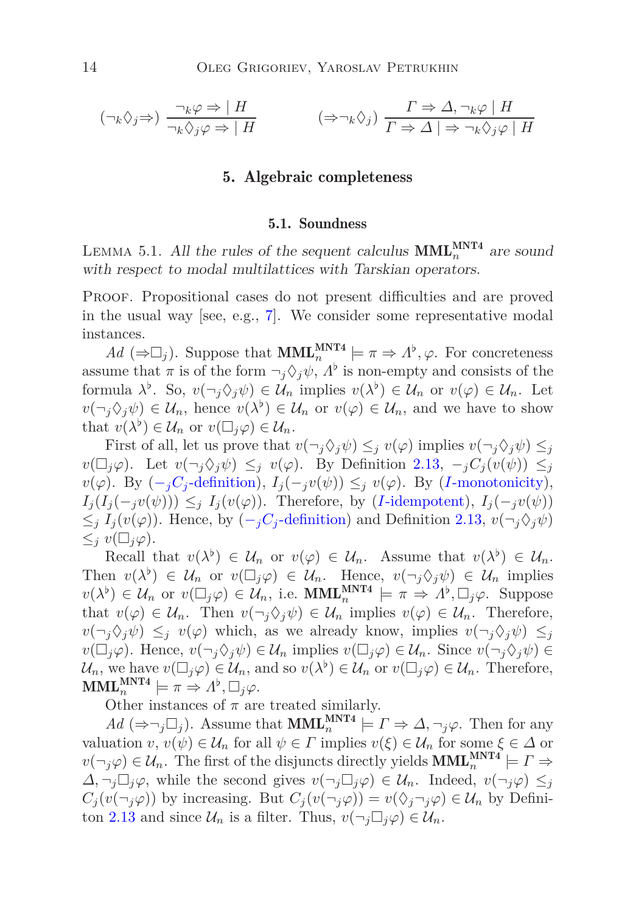<span id="page-13-0"></span>
$$
(\neg_k \Diamond_j \Rightarrow) \frac{\neg_k \varphi \Rightarrow |H}{\neg_k \Diamond_j \varphi \Rightarrow |H} \qquad (\Rightarrow \neg_k \Diamond_j) \frac{\Gamma \Rightarrow \Delta, \neg_k \varphi | H}{\Gamma \Rightarrow \Delta | \Rightarrow \neg_k \Diamond_j \varphi |H}
$$

# 5. Algebraic completeness

#### 5.1. Soundness

LEMMA 5.1. All the rules of the sequent calculus  $\text{MML}_{n}^{\text{MNT4}}$  are sound with respect to modal multilattices with Tarskian operators.

PROOF. Propositional cases do not present difficulties and are proved in the usual way [see, e.g., [7](#page-29-6)]. We consider some representative modal instances.

 $Ad \ (\Rightarrow \Box_j)$ . Suppose that **MML**<sup>MNT4</sup> $\models \pi \Rightarrow \Lambda^{\flat}, \varphi$ . For concreteness assume that  $\pi$  is of the form  $\neg_j \Diamond_j \psi$ ,  $\Lambda^{\flat}$  is non-empty and consists of the formula  $\lambda^{\flat}$ . So,  $v(\neg_j \Diamond_j \psi) \in \mathcal{U}_n$  implies  $v(\lambda^{\flat}) \in \mathcal{U}_n$  or  $v(\varphi) \in \mathcal{U}_n$ . Let  $v(\neg_j \Diamond_j \psi) \in \mathcal{U}_n$ , hence  $v(\lambda^{\flat}) \in \mathcal{U}_n$  or  $v(\varphi) \in \mathcal{U}_n$ , and we have to show that  $v(\lambda^{\flat}) \in \mathcal{U}_n$  or  $v(\Box_j \varphi) \in \mathcal{U}_n$ .

First of all, let us prove that  $v(\neg_i \Diamond_i \psi) \leq_j v(\varphi)$  implies  $v(\neg_i \Diamond_i \psi) \leq_j$  $v(\Box_j \varphi)$ . Let  $v(\neg_i \Diamond_j \psi) \leq_j v(\varphi)$ . By Definition [2.13,](#page-6-1)  $\neg_j C_j(v(\psi)) \leq_j$ *v*( $\varphi$ ). By (−*jC*<sub>*j*</sub>[-definition\)](#page-5-2), *I*<sub>j</sub>(−*jv*( $\psi$ )) ≤*j v*( $\varphi$ ). By (*I*[-monotonicity\)](#page-6-2),  $I_j(I_j(-i v(\psi))) \leq i I_j(v(\varphi))$ . Therefore, by (*I*[-idempotent\)](#page-5-3),  $I_j(-i v(\psi))$  $\leq$ *j*  $I_i(v(\varphi))$ . Hence, by  $\left(-\frac{C_i}{c}\right)$ [-definition\)](#page-5-2) and Definition [2.13,](#page-6-1)  $v(\neg_i \Diamond_i \psi)$  $\leq_i v(\Box_i \varphi).$ 

Recall that  $v(\lambda^{\flat}) \in \mathcal{U}_n$  or  $v(\varphi) \in \mathcal{U}_n$ . Assume that  $v(\lambda^{\flat}) \in \mathcal{U}_n$ . Then  $v(\lambda^{\flat}) \in \mathcal{U}_n$  or  $v(\Box_j \varphi) \in \mathcal{U}_n$ . Hence,  $v(\neg_j \Diamond_j \psi) \in \mathcal{U}_n$  implies  $v(\lambda^{\flat}) \in \mathcal{U}_n$  or  $v(\Box_j \varphi) \in \mathcal{U}_n$ , i.e. **MML**<sup>MNT4</sup> $\models \pi \Rightarrow \Lambda^{\flat}, \Box_j \varphi$ . Suppose that  $v(\varphi) \in \mathcal{U}_n$ . Then  $v(\neg_i \Diamond_i \psi) \in \mathcal{U}_n$  implies  $v(\varphi) \in \mathcal{U}_n$ . Therefore,  $v(\neg_j \Diamond_j \psi) \leq_j v(\varphi)$  which, as we already know, implies  $v(\neg_j \Diamond_j \psi) \leq_j$  $v(\Box_j \varphi)$ . Hence,  $v(\neg_i \Diamond_j \psi) \in \mathcal{U}_n$  implies  $v(\Box_j \varphi) \in \mathcal{U}_n$ . Since  $v(\neg_j \Diamond_j \psi) \in$  $\mathcal{U}_n$ , we have  $v(\Box_j \varphi) \in \mathcal{U}_n$ , and so  $v(\lambda^{\flat}) \in \mathcal{U}_n$  or  $v(\Box_j \varphi) \in \mathcal{U}_n$ . Therefore,  $\textbf{MML}_{n}^{\textbf{MNT4}}\models \pi \Rightarrow \Lambda^{\flat}, \Box_j \varphi.$ 

Other instances of  $\pi$  are treated similarly.

 $Ad \ (\Rightarrow \neg_j \Box_j)$ . Assume that **MML**<sup>MNT4</sup></sub>  $\models \Gamma \Rightarrow \Delta, \neg_j \varphi$ . Then for any valuation *v*,  $v(\psi) \in \mathcal{U}_n$  for all  $\psi \in \Gamma$  implies  $v(\xi) \in \mathcal{U}_n$  for some  $\xi \in \Delta$  or  $v(\neg_j \varphi) \in \mathcal{U}_n$ . The first of the disjuncts directly yields  $\text{MML}_{n}^{\text{MNT4}} \models \Gamma \Rightarrow$ *∆*, ¬*<sub><i>j</sub>* $\Box$ *j* $\varphi$ , while the second gives  $v(\neg_j \Box_j \varphi) \in \mathcal{U}_n$ . Indeed,  $v(\neg_j \varphi) \leq_j$ </sub>  $C_j(v(\neg_j \varphi))$  by increasing. But  $C_j(v(\neg_j \varphi)) = v(\Diamond_j \neg_j \varphi) \in \mathcal{U}_n$  by Defini-ton [2.13](#page-6-1) and since  $\mathcal{U}_n$  is a filter. Thus,  $v(\neg_i \Box_i \varphi) \in \mathcal{U}_n$ .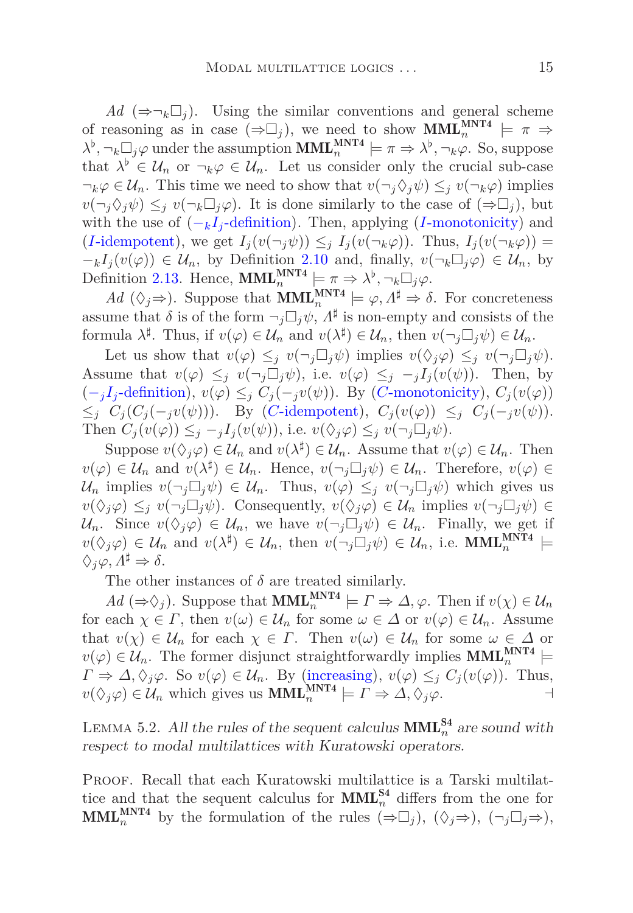*Ad*  $(\Rightarrow \neg_k \Box_i)$ . Using the similar conventions and general scheme of reasoning as in case  $(\Rightarrow \Box_j)$ , we need to show **MML**<sup>MNT4</sup> $\models \pi \Rightarrow$  $\lambda^{\flat}$ ,  $\neg_k \Box_j \varphi$  under the assumption  $\text{MML}_n^{\text{MNT4}} \models \pi \Rightarrow \lambda^{\flat}$ ,  $\neg_k \varphi$ . So, suppose that  $\lambda^{\flat} \in \mathcal{U}_n$  or  $\neg_k \varphi \in \mathcal{U}_n$ . Let us consider only the crucial sub-case  $\neg_k \varphi \in \mathcal{U}_n$ . This time we need to show that  $v(\neg_i \Diamond_j \psi) \leq_j v(\neg_k \varphi)$  implies  $v(\neg_i \Diamond_i \psi) \leq_i v(\neg_k \Box_i \varphi)$ . It is done similarly to the case of  $(\Rightarrow \Box_i)$ , but with the use of  $(-kI_i)$ [-definition\)](#page-5-4). Then, applying (*I*[-monotonicity\)](#page-6-2) and  $(I$ [-idempotent\)](#page-5-3), we get  $I_i(v(\neg_i\psi)) \leq i \ I_i(v(\neg_k\varphi))$ . Thus,  $I_i(v(\neg_k\varphi)) =$  $-\kappa I_j(v(\varphi)) \in \mathcal{U}_n$ , by Definition [2.10](#page-5-5) and, finally,  $v(\neg_k \Box_j \varphi) \in \mathcal{U}_n$ , by Definition [2.13.](#page-6-1) Hence,  $\text{MML}_{n}^{\text{MNT4}} \models \pi \Rightarrow \lambda^{\flat}, \neg_k \Box_j \varphi$ .

 $Ad$  ( $\Diamond_j \Rightarrow$ ). Suppose that **MML**<sup>MNT4</sup> $\models \varphi, \Lambda^{\sharp} \Rightarrow \delta$ . For concreteness assume that  $\delta$  is of the form  $\neg_j \Box_j \psi$ ,  $\Lambda^{\sharp}$  is non-empty and consists of the formula  $\lambda^{\sharp}$ . Thus, if  $v(\varphi) \in \mathcal{U}_n$  and  $v(\lambda^{\sharp}) \in \mathcal{U}_n$ , then  $v(\neg_j \Box_j \psi) \in \mathcal{U}_n$ .

Let us show that  $v(\varphi) \leq_j v(\neg_i \Box_j \psi)$  implies  $v(\Diamond_j \varphi) \leq_j v(\neg_i \Box_j \psi)$ . Assume that  $v(\varphi) \leq j \ v(\neg_j \Box_j \psi)$ , i.e.  $v(\varphi) \leq j \ -j I_j(v(\psi))$ . Then, by  $(-iI_i$ [-definition\)](#page-5-6),  $v(\varphi) \leq i C_j(-i v(\psi))$ . By (*C*[-monotonicity\)](#page-6-3),  $C_j(v(\varphi))$  $\leq_j C_j(C_j(-_jv(\psi)))$ . By (*C*[-idempotent\)](#page-5-7),  $C_j(v(\varphi)) \leq_j C_j(-_jv(\psi))$ . Then  $C_j(v(\varphi)) \leq_j -jI_j(v(\psi))$ , i.e.  $v(\Diamond_j \varphi) \leq_j v(\neg_j \Box_j \psi)$ .

Suppose  $v(\Diamond_j \varphi) \in \mathcal{U}_n$  and  $v(\lambda^{\sharp}) \in \mathcal{U}_n$ . Assume that  $v(\varphi) \in \mathcal{U}_n$ . Then  $v(\varphi) \in \mathcal{U}_n$  and  $v(\lambda^{\sharp}) \in \mathcal{U}_n$ . Hence,  $v(\neg_j \Box_j \psi) \in \mathcal{U}_n$ . Therefore,  $v(\varphi) \in$  $U_n$  implies  $v(\neg_i \Box_i \psi) \in \mathcal{U}_n$ . Thus,  $v(\varphi) \leq_i v(\neg_i \Box_i \psi)$  which gives us  $v(\Diamond_j \varphi) \leq_j v(\neg_j \Box_j \psi)$ . Consequently,  $v(\Diamond_j \varphi) \in \mathcal{U}_n$  implies  $v(\neg_j \Box_j \psi) \in$  $\mathcal{U}_n$ . Since  $v(\Diamond_i \varphi) \in \mathcal{U}_n$ , we have  $v(\neg_i \Box_i \psi) \in \mathcal{U}_n$ . Finally, we get if  $v(\Diamond_j \varphi) \in \mathcal{U}_n$  and  $v(\lambda^{\sharp}) \in \mathcal{U}_n$ , then  $v(\neg_j \Box_j \psi) \in \mathcal{U}_n$ , i.e. **MML**<sup>MNT4</sup>  $\Diamond_i \varphi, A^\sharp \Rightarrow \delta.$ 

The other instances of  $\delta$  are treated similarly.

 $Ad \ (\Rightarrow \Diamond_j)$ . Suppose that **MML**<sup>MNT4</sup></sub>  $\models \Gamma \Rightarrow \Delta, \varphi$ . Then if  $v(\chi) \in \mathcal{U}_n$ for each  $\chi \in \Gamma$ , then  $v(\omega) \in \mathcal{U}_n$  for some  $\omega \in \Delta$  or  $v(\varphi) \in \mathcal{U}_n$ . Assume that  $v(\chi) \in \mathcal{U}_n$  for each  $\chi \in \Gamma$ . Then  $v(\omega) \in \mathcal{U}_n$  for some  $\omega \in \Delta$  or  $v(\varphi) \in \mathcal{U}_n$ . The former disjunct straightforwardly implies  $\text{MML}_{n}^{\text{MNT4}} \models$  $\Gamma \Rightarrow \Delta, \Diamond_j \varphi$ . So  $v(\varphi) \in \mathcal{U}_n$ . By [\(increasing\)](#page-5-8),  $v(\varphi) \leq_i C_j(v(\varphi))$ . Thus,  $v(\Diamond_j \varphi) \in \mathcal{U}_n$  which gives us  $\text{MML}_n^{\text{MNT4}} \models \Gamma \Rightarrow \Delta, \Diamond_j \varphi.$ 

LEMMA 5.2. All the rules of the sequent calculus  $\text{MML}_{n}^{\text{S4}}$  are sound with respect to modal multilattices with Kuratowski operators.

Proof. Recall that each Kuratowski multilattice is a Tarski multilattice and that the sequent calculus for  $\text{MML}_{n}^{\text{S4}}$  differs from the one for **MML**<sup>MNT4</sup> by the formulation of the rules  $(\Rightarrow \Box_j)$ ,  $(\Diamond_j \Rightarrow)$ ,  $(\neg_j \Box_j \Rightarrow)$ ,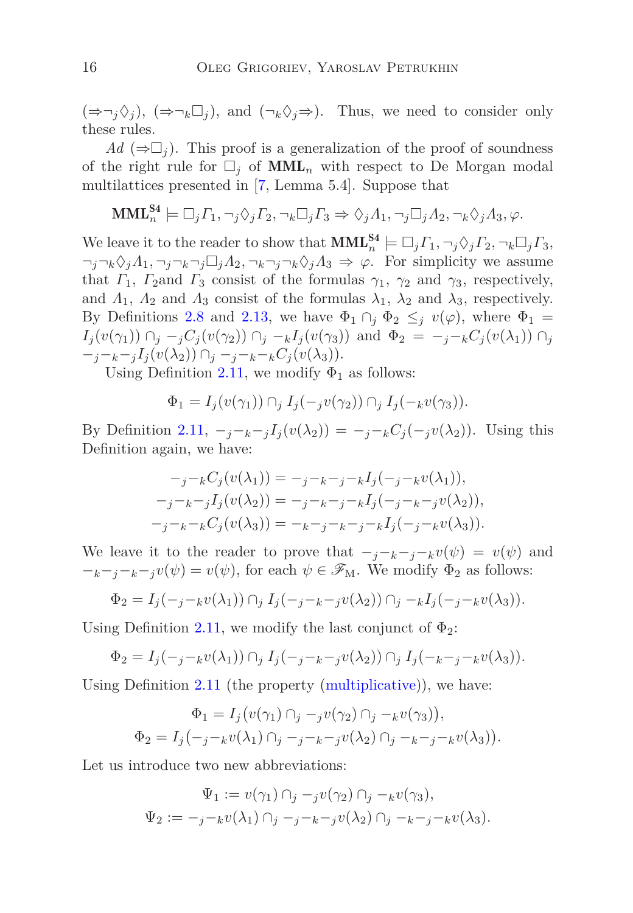$(\Rightarrow \neg_i \Diamond_i)$ ,  $(\Rightarrow \neg_k \Box_i)$ , and  $(\neg_k \Diamond_i \Rightarrow)$ . Thus, we need to consider only these rules.

 $Ad (\Rightarrow \Box_i)$ . This proof is a generalization of the proof of soundness of the right rule for  $\Box_j$  of  $\text{MML}_n$  with respect to De Morgan modal multilattices presented in [\[7,](#page-29-6) Lemma 5.4]. Suppose that

$$
\mathbf{MML}_{n}^{\mathbf{S4}} \models \Box_{j} \Gamma_{1}, \neg_{j} \Diamond_{j} \Gamma_{2}, \neg_{k} \Box_{j} \Gamma_{3} \Rightarrow \Diamond_{j} \Lambda_{1}, \neg_{j} \Box_{j} \Lambda_{2}, \neg_{k} \Diamond_{j} \Lambda_{3}, \varphi.
$$

We leave it to the reader to show that  $\text{MML}_{n}^{\text{S4}} \models \Box_{j} \Gamma_{1}, \neg_{j} \Diamond_{j} \Gamma_{2}, \neg_{k} \Box_{j} \Gamma_{3},$  $\neg_i \neg_k \Diamond_i A_1, \neg_i \neg_k \neg_j \Box_i A_2, \neg_k \neg_j \neg_k \Diamond_i A_3 \Rightarrow \varphi$ . For simplicity we assume that  $\Gamma_1$ ,  $\Gamma_2$ and  $\Gamma_3$  consist of the formulas  $\gamma_1$ ,  $\gamma_2$  and  $\gamma_3$ , respectively, and  $\Lambda_1$ ,  $\Lambda_2$  and  $\Lambda_3$  consist of the formulas  $\lambda_1$ ,  $\lambda_2$  and  $\lambda_3$ , respectively. By Definitions [2.8](#page-4-0) and [2.13,](#page-6-1) we have  $\Phi_1 \cap_j \Phi_2 \leq_j v(\varphi)$ , where  $\Phi_1 =$  $I_j(v(\gamma_1)) \cap_j -_j C_j(v(\gamma_2)) \cap_j -_k I_j(v(\gamma_3))$  and  $\Phi_2 = -_j -_k C_j(v(\lambda_1)) \cap_j$ −*j*−*k*−*<sup>j</sup> I<sup>j</sup>* (*v*(*λ*2)) ∩*<sup>j</sup>* −*j*−*k*−*kC<sup>j</sup>* (*v*(*λ*3)).

Using Definition [2.11,](#page-6-4) we modify  $\Phi_1$  as follows:

$$
\Phi_1 = I_j(v(\gamma_1)) \cap_j I_j(-jv(\gamma_2)) \cap_j I_j(-kv(\gamma_3)).
$$

By Definition [2.11,](#page-6-4)  $-*j*-*k*-*j* I<sub>j</sub>(v(\lambda<sub>2</sub>)) = -*j*-*k* C<sub>j</sub>(-*j*v(\lambda<sub>2</sub>)).$  Using this Definition again, we have:

$$
-j - kC_j(v(\lambda_1)) = -j - k - j - kI_j(-j - k v(\lambda_1)),
$$
  

$$
-j - k - jI_j(v(\lambda_2)) = -j - k - j - kI_j(-j - k - j v(\lambda_2)),
$$
  

$$
-j - k - kC_j(v(\lambda_3)) = -k - j - k - j - kI_j(-j - k v(\lambda_3)).
$$

We leave it to the reader to prove that  $-j-k-j-k\nu(\psi) = \nu(\psi)$  and  $-k-i-k-j\nu(\psi) = \nu(\psi)$ , for each  $\psi \in \mathscr{F}_{M}$ . We modify  $\Phi_2$  as follows:

$$
\Phi_2 = I_j(-j - k v(\lambda_1)) \cap_j I_j(-j - k - j v(\lambda_2)) \cap_j - k I_j(-j - k v(\lambda_3)).
$$

Using Definition [2.11,](#page-6-4) we modify the last conjunct of  $\Phi_2$ :

$$
\Phi_2 = I_j(-j-kv(\lambda_1)) \cap_j I_j(-j-k-jv(\lambda_2)) \cap_j I_j(-k-j-kv(\lambda_3)).
$$

Using Definition [2.11](#page-6-4) (the property [\(multiplicative\)](#page-6-5)), we have:

$$
\Phi_1 = I_j(v(\gamma_1) \cap_j -_j v(\gamma_2) \cap_j -_k v(\gamma_3)),
$$
  

$$
\Phi_2 = I_j(-_j -_k v(\lambda_1) \cap_j -_j -_k -_j v(\lambda_2) \cap_j -_k -_j -_k v(\lambda_3)).
$$

Let us introduce two new abbreviations:

$$
\Psi_1 := v(\gamma_1) \cap_j -_{j} v(\gamma_2) \cap_j -_{k} v(\gamma_3),
$$
  

$$
\Psi_2 := -_{j} -_{k} v(\lambda_1) \cap_j -_{j} -_{k} -_{j} v(\lambda_2) \cap_j -_{k} -_{j} -_{k} v(\lambda_3).
$$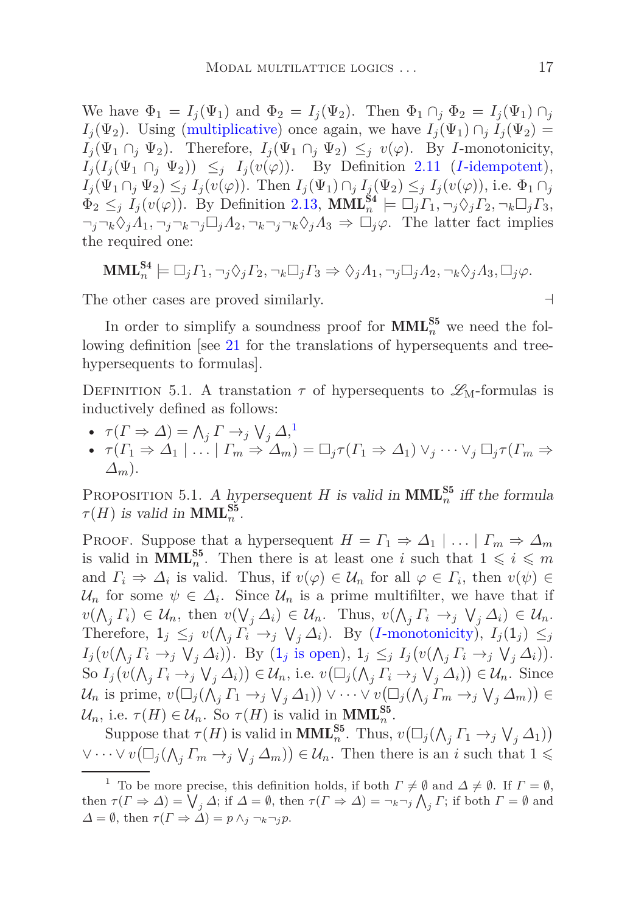We have  $\Phi_1 = I_i(\Psi_1)$  and  $\Phi_2 = I_i(\Psi_2)$ . Then  $\Phi_1 \cap_i \Phi_2 = I_i(\Psi_1) \cap_i$ *I*<sub>j</sub>( $\Psi_2$ ). Using [\(multiplicative\)](#page-6-5) once again, we have  $I_j(\Psi_1) \cap_j I_j(\Psi_2) =$  $I_i(\Psi_1 \cap_i \Psi_2)$ . Therefore,  $I_i(\Psi_1 \cap_i \Psi_2) \leq_i v(\varphi)$ . By *I*-monotonicity,  $I_j(I_j(\Psi_1 \cap_j \Psi_2)) \leq j \quad I_j(v(\varphi))$ . By Definition [2.11](#page-6-4) (*I*[-idempotent\)](#page-5-3),  $I_j(\Psi_1 \cap_j \Psi_2) \leq_j I_j(v(\varphi))$ . Then  $I_j(\Psi_1) \cap_j I_j(\Psi_2) \leq_j I_j(v(\varphi))$ , i.e.  $\Phi_1 \cap_j$  $\Phi_2 \leq_j I_j(v(\varphi))$ . By Definition [2.13,](#page-6-1)  $\text{MML}_n^{\text{S4}} \models \Box_j \Gamma_1, \neg_j \Diamond_j \Gamma_2, \neg_k \Box_j \Gamma_3$ ,  $\neg_j \neg_k \Diamond_j A_1, \neg_j \neg_k \neg_j \Box_j A_2, \neg_k \neg_j \neg_k \Diamond_j A_3 \Rightarrow \Box_j \varphi$ . The latter fact implies the required one:

$$
\mathbf{MML}_{n}^{\mathbf{S4}} \models \Box_{j} \Gamma_{1}, \neg_{j} \Diamond_{j} \Gamma_{2}, \neg_{k} \Box_{j} \Gamma_{3} \Rightarrow \Diamond_{j} \Lambda_{1}, \neg_{j} \Box_{j} \Lambda_{2}, \neg_{k} \Diamond_{j} \Lambda_{3}, \Box_{j} \varphi.
$$

The other cases are proved similarly. ⊣

In order to simplify a soundness proof for  $\text{MML}_{n}^{\text{S5}}$  we need the following definition [see [21](#page-30-8) for the translations of hypersequents and treehypersequents to formulas].

DEFINITION 5.1. A transtation  $\tau$  of hypersequents to  $\mathscr{L}_{M}$ -formulas is inductively defined as follows:

- $\tau(\Gamma \Rightarrow \Delta) = \bigwedge_j \Gamma \rightarrow_j \bigvee_j \Delta_j^1$  $\tau(\Gamma \Rightarrow \Delta) = \bigwedge_j \Gamma \rightarrow_j \bigvee_j \Delta_j^1$
- $\bullet$  *τ*( $\Gamma_1 \Rightarrow \Delta_1 \mid \ldots \mid \Gamma_m \Rightarrow \Delta_m$ ) =  $\Box_j \tau(\Gamma_1 \Rightarrow \Delta_1) \vee_i \cdots \vee_i \Box_i \tau(\Gamma_m \Rightarrow$ *∆m*).

<span id="page-16-1"></span>PROPOSITION 5.1. A hypersequent *H* is valid in  $\text{MML}_{n}^{\text{S5}}$  iff the formula  $\tau(H)$  is valid in **MML**<sup>S5</sup><sub>*n*</sub>.

PROOF. Suppose that a hypersequent  $H = \Gamma_1 \Rightarrow \Delta_1 \mid \ldots \mid \Gamma_m \Rightarrow \Delta_m$ is valid in **MML**<sup>55</sup><sub>*n*</sub>. Then there is at least one *i* such that  $1 \leqslant i \leqslant m$ and  $\Gamma_i \Rightarrow \Delta_i$  is valid. Thus, if  $v(\varphi) \in \mathcal{U}_n$  for all  $\varphi \in \Gamma_i$ , then  $v(\psi) \in$  $\mathcal{U}_n$  for some  $\psi \in \Delta_i$ . Since  $\mathcal{U}_n$  is a prime multifilter, we have that if  $v(\bigwedge_j \Gamma_i) \in \mathcal{U}_n$ , then  $v(\bigvee_j \Delta_i) \in \mathcal{U}_n$ . Thus,  $v(\bigwedge_j \Gamma_i \rightarrow_j \bigvee_j \Delta_i) \in \mathcal{U}_n$ . Therefore,  $1_j \leq_j v(\bigwedge_j \overline{\Gamma_i} \to_j \bigvee_j \Delta_i)$ . By (*I*[-monotonicity\)](#page-6-2),  $I_j(1_j) \leq_j$  $I_j(v(\bigwedge_j \Gamma_i \to_j \bigvee_j \Delta_i)).$  By  $(1_j \text{ is open}), 1_j \leq_j I_j(v(\bigwedge_j \Gamma_i \to_j \bigvee_j \Delta_i)).$  $S \circ I_j(v(\bigwedge_j \Gamma_i \to_j \bigvee_j \Delta_i)) \in \mathcal{U}_n$ , i.e.  $v(\Box_j(\bigwedge_j \Gamma_i \to_j \bigvee_j \Delta_i)) \in \mathcal{U}_n$ . Since  $\mathcal{U}_n$  is prime,  $v(\Box_j(\bigwedge_j \Gamma_1 \to_j \bigvee_j \Delta_1)) \vee \cdots \vee v(\Box_j(\bigwedge_j \Gamma_m \to_j \bigvee_j \Delta_m)) \in$ U<sub>n</sub>, i.e.  $\tau(H) \in \mathcal{U}_n$ . So  $\tau(H)$  is valid in **MML**<sup>S5</sup><sub>n</sub>.

Suppose that  $\tau(H)$  is valid in **MML**<sub>n</sub><sup>55</sup>. Thus,  $v(\Box_j(\bigwedge_j \Gamma_1 \to_j \bigvee_j \Delta_1))$  $\forall \dots \forall v (\Box_j (\bigwedge_j \Gamma_m \to_j \bigvee_j \Delta_m)) \in \mathcal{U}_n$ . Then there is an *i* such that  $1 \leq$ 

<span id="page-16-0"></span><sup>&</sup>lt;sup>1</sup> To be more precise, this definition holds, if both  $\Gamma \neq \emptyset$  and  $\Delta \neq \emptyset$ . If  $\Gamma = \emptyset$ , then  $\tau(\Gamma \Rightarrow \Delta) = \bigvee_j \Delta$ ; if  $\Delta = \emptyset$ , then  $\tau(\Gamma \Rightarrow \Delta) = \neg_k \neg_j \bigwedge_j \Gamma$ ; if both  $\Gamma = \emptyset$  and  $\Delta = \emptyset$ , then  $\tau(\Gamma \Rightarrow \Delta) = p \wedge_i \neg_k \neg_i p$ .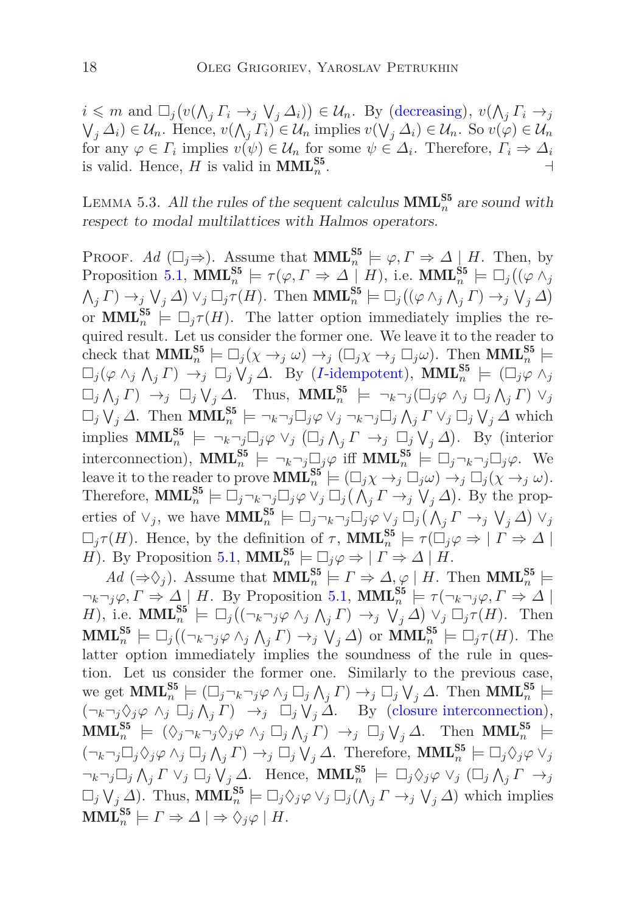$i \leq m$  and  $\Box_j(v(\bigwedge_j \Gamma_i \to_j \bigvee_j \Delta_i)) \in \mathcal{U}_n$ . By [\(decreasing\)](#page-5-9),  $v(\bigwedge_j \Gamma_i \to_j \Delta_i)$  $(\bigvee_j \Delta_i) \in \mathcal{U}_n$ . Hence,  $v(\bigwedge_j \Gamma_i) \in \mathcal{U}_n$  implies  $v(\bigvee_j \Delta_i) \in \mathcal{U}_n$ . So  $v(\varphi) \in \mathcal{U}_n$ for any  $\varphi \in \Gamma_i$  implies  $v(\psi) \in \mathcal{U}_n$  for some  $\psi \in \Delta_i$ . Therefore,  $\Gamma_i \Rightarrow \Delta_i$ is valid. Hence, *H* is valid in  $\text{MML}_{n}^{\text{S5}}$ . ⊣

LEMMA 5.3. All the rules of the sequent calculus  $\text{MML}_{n}^{\text{S5}}$  are sound with respect to modal multilattices with Halmos operators.

PROOF. Ad  $(\Box_j \Rightarrow)$ . Assume that  $\text{MML}_n^{S5} \models \varphi, \Gamma \Rightarrow \Delta \downarrow H$ . Then, by Proposition [5.1,](#page-16-1)  $\text{MML}_{n}^{\text{S5}} \models \tau(\varphi, \Gamma \Rightarrow \Delta \mid H)$ , i.e.  $\text{MML}_{n}^{\text{S5}} \models \Box_{j}((\varphi \wedge_{j} \Delta_{j} \wedge \Delta_{j} \wedge \Delta_{j} \wedge \Delta_{j} \wedge \Delta_{j} \wedge \Delta_{j} \wedge \Delta_{j} \wedge \Delta_{j} \wedge \Delta_{j} \wedge \Delta_{j} \wedge \Delta_{j} \wedge \Delta_{j} \wedge \Delta_{j} \wedge \Delta_{j} \wedge \Delta_{j} \wedge \Delta_{j} \wedge \$  $\bigwedge_j \Gamma$   $\to_j \bigvee_j \Delta$   $\bigvee_j \Box_j \tau(H)$ . Then **MML**<sub>n</sub><sup>55</sup>  $\models \Box_j ((\varphi \wedge_j \wedge_j \Gamma) \rightarrow_j \bigvee_j \Delta)$ or **MML**<sup>S5</sup><sub>n</sub>  $\models \Box_j \tau(H)$ . The latter option immediately implies the required result. Let us consider the former one. We leave it to the reader to check that  $\text{MML}_{n}^{\text{S5}} \models \Box_j(\chi \rightarrow_j \omega) \rightarrow_j (\Box_j \chi \rightarrow_j \Box_j \omega)$ . Then  $\text{MML}_{n}^{\text{S5}} \models$  $\Box_j(\varphi \wedge_j \wedge_j \Gamma) \rightarrow_j \Box_j \vee_j \Delta$ . By (*I*[-idempotent\)](#page-5-3),  $\text{MML}_n^{\text{S5}} \models (\Box_j \varphi \wedge_j \Gamma)$  $\Box_j \bigwedge_j \Gamma$   $\rightarrow_j \Box_j \bigvee_j \Delta$ . Thus,  $\text{MML}_n^{\text{S5}} \models \neg_k \neg_j (\Box_j \varphi \land_j \Box_j \Lambda_j \Gamma) \lor_j$  $\Box_j \bigvee_j \Delta$ . Then  $\text{MML}_n^{\text{S5}} \models \neg_k \neg_j \Box_j \varphi \lor_j \neg_k \neg_j \Box_j \bigwedge_j \Gamma \lor_j \Box_j \bigvee_j \Delta$  which  $\text{implies } \text{MML}_{n}^{\text{S5}} \models \neg_k \neg_j \Box_j \varphi \lor_j (\Box_j \wedge_j \Gamma \rightarrow_j \Box_j \vee_j \Delta)$ . By (interior interconnection),  $\text{MML}_{n}^{\text{S5}} \models \neg_k \neg_j \Box_j \varphi$  iff  $\text{MML}_{n}^{\text{S5}} \models \Box_j \neg_k \neg_j \Box_j \varphi$ . We leave it to the reader to prove  $\text{MML}_{n}^{\text{SS}} \models (\Box_j \chi \rightarrow_j \Box_j \omega) \rightarrow_j \Box_j (\chi \rightarrow_j \omega)$ . Therefore,  $\text{MML}_{n}^{\text{S5}} \models \Box_j \neg_k \neg_j \Box_j \varphi \lor_j \Box_j (\bigwedge_j \Gamma \rightarrow_j \bigvee_j \Delta)$ . By the properties of  $\vee_j$ , we have  $\text{MML}_{n}^{\text{S5}} \models \Box_j \neg_k \neg_j \Box_j \varphi \vee_j \Box_j (\wedge_j \Gamma \rightarrow_j \vee_j \Delta) \vee_j$  $\Box_j \tau(H)$ . Hence, by the definition of  $\tau$ ,  $\text{MML}_n^{\text{S5}} \models \tau(\Box_j \varphi \Rightarrow | \Gamma \Rightarrow \Delta |$ *H*). By Proposition [5.1,](#page-16-1) **MML**<sup>S5</sup><sub>*n*</sub></sup> $\models \Box_j \varphi \Rightarrow | \Gamma \Rightarrow \Delta | H$ .

 $Ad (\Rightarrow \Diamond_j)$ . Assume that  $\text{MML}_{n}^{\text{S5}} \models \Gamma \Rightarrow \Delta, \varphi \mid H$ . Then  $\text{MML}_{n}^{\text{S5}} \models$  $\neg_k \neg_j \varphi, \Gamma \Rightarrow \Delta \mid H$ . By Proposition [5.1,](#page-16-1)  $\text{MML}_n^{\text{S5}} \models \tau(\neg_k \neg_j \varphi, \Gamma \Rightarrow \Delta \mid$ *H*), i.e. **MML**<sup>S5</sup></sup><sup>*n*</sup>  $\models \Box_j ((\neg_k \neg_j \varphi \land_j \land_j \Gamma) \rightarrow_j \lor_j \Box_j \neg_j \vee_j \Box_j \tau(H)$ . Then  $\text{MML}_{n}^{\text{S5}} \models \Box_{j}((\neg_{k}\neg_{j}\varphi \wedge_{j}\wedge_{j}\Gamma) \rightarrow_{j} \mathsf{V}_{j}\Delta) \text{ or } \text{MML}_{n}^{\text{S5}} \models \Box_{j}\tau(H).$  The latter option immediately implies the soundness of the rule in question. Let us consider the former one. Similarly to the previous case, we get  $\text{MML}_{n}^{\text{S5}} \models (\Box_j \neg_k \neg_j \varphi \land_j \Box_j \land_j \Gamma) \rightarrow_j \Box_j \bigvee_j \Delta$ . Then  $\text{MML}_{n}^{\text{S5}} \models$  $(\neg_k \neg_j \Diamond_j \varphi \land_j \Box_j \land_j \Gamma) \rightarrow_j \Box_j \bigvee_j \Delta$ . By [\(closure interconnection\)](#page-6-6),  $\text{MML}_{n}^{\text{S5}} \models (\Diamond_j \neg_k \neg_j \Diamond_j \varphi \land_j \Box_j \land_j \Gamma) \rightarrow_j \Box_j \lor_j \Delta$ . Then  $\text{MML}_{n}^{\text{S5}} \models$  $(\neg_k \neg_j \Box_j \Diamond_j \varphi \land_j \Box_j \wedge_j \Gamma) \rightarrow_j \Box_j \vee_j \Delta$ . Therefore,  $\text{MML}_n^{\text{S5}} \models \Box_j \Diamond_j \varphi \vee_j \Box_j$  $\neg_k \neg_j \Box_j \wedge_j \Gamma \vee_j \Box_j \vee_j \Delta$ . Hence,  $\text{MML}_n^{\text{S5}} \models \Box_j \Diamond_j \varphi \vee_j (\Box_j \wedge_j \Gamma \rightarrow_j \Delta)$  $\Box_j \bigvee_j \Delta$ ). Thus,  $\text{MML}_n^{\text{S5}} \models \Box_j \Diamond_j \varphi \lor_j \Box_j (\bigwedge_j \Gamma \rightarrow_j \bigvee_j \Delta)$  which implies  $\textbf{MML}_n^{\mathbf{S5}} \models \Gamma \Rightarrow \Delta \mid \Rightarrow \Diamond_j \varphi \mid H.$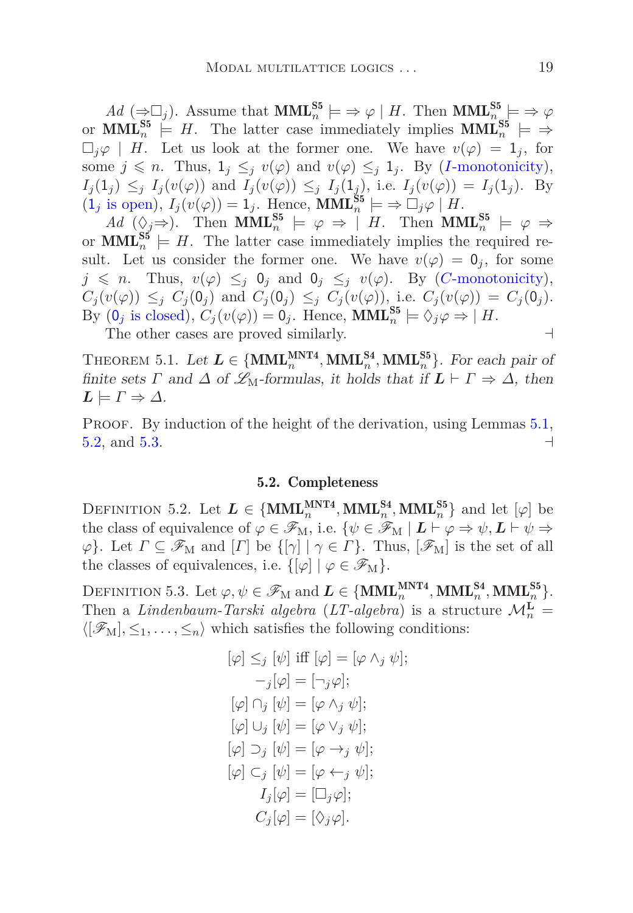$Ad~(\Rightarrow \Box_j)$ . Assume that  $\text{MML}_{n}^{\text{S5}} \models \Rightarrow \varphi \mid H$ . Then  $\text{MML}_{n}^{\text{S5}} \models \Rightarrow \varphi$ or **MML**<sup>S5</sup><sub>n</sub>  $\models$  *H*. The latter case immediately implies **MML**<sup>S5</sup><sub>n</sub>  $\models$   $\Rightarrow$  $\Box_i \varphi \mid H$ . Let us look at the former one. We have  $v(\varphi) = 1_i$ , for some  $j \leq n$ . Thus,  $1_j \leq_j v(\varphi)$  and  $v(\varphi) \leq_j 1_j$ . By (*I*[-monotonicity\)](#page-6-2),  $I_j(1_j) \leq_j I_j(v(\varphi))$  and  $I_j(v(\varphi)) \leq_j I_j(1_j)$ , i.e.  $I_j(v(\varphi)) = I_j(1_j)$ . By  $(1_j \text{ is open}), I_j(v(\varphi)) = 1_j.$  Hence,  $\text{MML}_n^{\text{S5}} \models \Rightarrow \Box_j \varphi \mid H.$ 

 $Ad$  ( $\Diamond j \Rightarrow$ ). Then **MML**<sup>S5</sup><sub>n</sub></sup>  $\models \varphi \Rightarrow |H$ . Then **MML**<sup>S5</sup><sub>n</sub><sub>n</sub>  $\models \varphi \Rightarrow$ or  $\text{MML}_{n}^{\text{S5}} \models H$ . The latter case immediately implies the required result. Let us consider the former one. We have  $v(\varphi) = 0_j$ , for some  $j \leq n$ . Thus,  $v(\varphi) \leq i \theta_j$  and  $\theta_j \leq j \ v(\varphi)$ . By (*C*[-monotonicity\)](#page-6-3),  $C_i(v(\varphi)) \leq_i C_i(0_i)$  and  $C_i(0_i) \leq_i C_i(v(\varphi))$ , i.e.  $C_i(v(\varphi)) = C_i(0_i)$ . By  $(0_j \text{ is closed}), C_j(v(\varphi)) = 0_j.$  Hence,  $\text{MML}_n^{\text{S5}} \models \Diamond_j \varphi \Rightarrow | H.$ 

The other cases are proved similarly.  $\rightarrow$ 

<span id="page-18-0"></span>THEOREM 5.1. Let  $L \in \{MML_n^{MNT4}, MML_n^{S4}, MML_n^{S5}\}$ . For each pair of finite sets *Γ* and  $\Delta$  of  $\mathcal{L}_M$ -formulas, it holds that if  $\mathbf{L} \vdash \Gamma \Rightarrow \Delta$ , then  $L \models \Gamma \Rightarrow \Delta$ .

PROOF. By induction of the height of the derivation, using Lemmas [5.1,](#page-26-0) [5.2,](#page-27-0) and [5.3.](#page-27-1) ⊣

#### 5.2. Completeness

DEFINITION 5.2. Let  $L \in \{MML_n^{MNT4}, MML_n^{S4}, MML_n^{S5}\}$  and let  $[\varphi]$  be the class of equivalence of  $\varphi \in \mathscr{F}_{M}$ , i.e.  $\{\psi \in \mathscr{F}_{M} \mid L \vdash \varphi \Rightarrow \psi, L \vdash \psi \Rightarrow$  $\varphi$ . Let  $\Gamma \subseteq \mathscr{F}_{M}$  and  $[\Gamma]$  be  $\{[\gamma] \mid \gamma \in \Gamma\}$ . Thus,  $[\mathscr{F}_{M}]$  is the set of all the classes of equivalences, i.e.  $\{[\varphi] \mid \varphi \in \mathscr{F}_{M}\}.$ 

DEFINITION 5.3. Let  $\varphi, \psi \in \mathscr{F}_{\mathrm{M}}$  and  $\boldsymbol{L} \in \{\mathbf{MML}_{n}^{\mathbf{MNT4}}, \mathbf{MML}_{n}^{\mathbf{S4}}, \mathbf{MML}_{n}^{\mathbf{S5}}\}.$ Then a *Lindenbaum-Tarski algebra* (*LT-algebra*) is a structure  $\mathcal{M}_n^{\mathbf{L}} =$  $\langle [\mathcal{F}_M], \leq_1, \ldots, \leq_n \rangle$  which satisfies the following conditions:

$$
[\varphi] \leq_j [\psi] \text{ iff } [\varphi] = [\varphi \wedge_j \psi];
$$
  
\n
$$
-j[\varphi] = [\neg_j \varphi];
$$
  
\n
$$
[\varphi] \cap_j [\psi] = [\varphi \wedge_j \psi];
$$
  
\n
$$
[\varphi] \cup_j [\psi] = [\varphi \vee_j \psi];
$$
  
\n
$$
[\varphi] \supset_j [\psi] = [\varphi \rightarrow_j \psi];
$$
  
\n
$$
[\varphi] \subset_j [\psi] = [\varphi \leftarrow_j \psi];
$$
  
\n
$$
I_j[\varphi] = [\Box_j \varphi];
$$
  
\n
$$
C_j[\varphi] = [\Diamond_j \varphi].
$$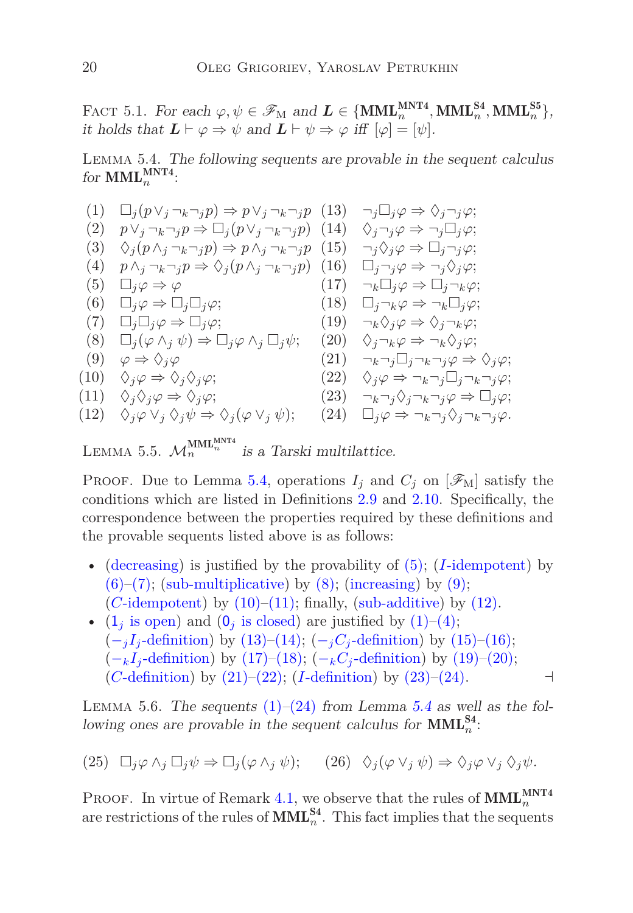FACT 5.1. For each  $\varphi, \psi \in \mathscr{F}_{M}$  and  $\mathbf{L} \in \{\text{MML}_{n}^{\text{MNT4}}, \text{MML}_{n}^{\text{S4}}, \text{MML}_{n}^{\text{S5}}\},$ it holds that  $\mathbf{L} \vdash \varphi \Rightarrow \psi$  and  $\mathbf{L} \vdash \psi \Rightarrow \varphi$  iff  $[\varphi] = [\psi]$ .

<span id="page-19-11"></span><span id="page-19-0"></span>Lemma 5.4. The following sequents are provable in the sequent calculus for  $\text{MML}_{n}^{\text{MNT4}}$ :

<span id="page-19-18"></span><span id="page-19-17"></span><span id="page-19-16"></span><span id="page-19-15"></span><span id="page-19-14"></span><span id="page-19-13"></span><span id="page-19-12"></span><span id="page-19-10"></span><span id="page-19-9"></span><span id="page-19-4"></span><span id="page-19-3"></span><span id="page-19-2"></span><span id="page-19-1"></span>(1) 
$$
\Box_j(p\lor_j \neg_k \neg_j p) \Rightarrow p\lor_j \neg_k \neg_j p
$$
 (13)  $\neg_j \Box_j \varphi \Rightarrow \Diamond_j \neg_j \varphi;$   
\n(2)  $p\lor_j \neg_k \neg_j p \Rightarrow \Box_j(p\lor_j \neg_k \neg_j p)$  (14)  $\Diamond_j \neg_j \varphi \Rightarrow \neg_j \Box_j \varphi;$   
\n(3)  $\Diamond_j(p\land_j \neg_k \neg_j p) \Rightarrow p\land_j \neg_k \neg_j p$  (15)  $\neg_j \Diamond_j \varphi \Rightarrow \Box_j \neg_j \varphi;$   
\n(4)  $p\land_j \neg_k \neg_j p \Rightarrow \Diamond_j(p\land_j \neg_k \neg_j p)$  (16)  $\Box_j \neg_j \varphi \Rightarrow \neg_j \Diamond_j \varphi;$   
\n(5)  $\Box_j \varphi \Rightarrow \varphi$  (17)  $\neg_k \Box_j \varphi \Rightarrow \Box_j \neg_k \varphi;$   
\n(6)  $\Box_j \varphi \Rightarrow \Box_j \Box_j \varphi;$  (18)  $\Box_j \neg_k \varphi \Rightarrow \neg_k \Box_j \varphi;$   
\n(7)  $\Box_j \Box_j \varphi \Rightarrow \Box_j \varphi;$  (19)  $\neg_k \Diamond_j \varphi \Rightarrow \Diamond_j \neg_k \varphi;$   
\n(8)  $\Box_j(\varphi \land_j \psi) \Rightarrow \Box_j \varphi \land_j \Box_j \psi;$  (20)  $\Diamond_j \neg_k \varphi \Rightarrow \neg_k \Diamond_j \varphi;$   
\n(9)  $\varphi \Rightarrow \Diamond_j \varphi$  (21)  $\neg_{k} \neg_j \Box_j \neg_k \neg_j \varphi \Rightarrow \Diamond_j \varphi;$   
\n(10)  $\Diamond_j \varphi \Rightarrow \Diamond_j \varphi;$  (22)  $\Diamond_j \varphi \Rightarrow \neg_k \neg_j \Box_j \neg_k \neg_j \varphi;$   
\n(11)  $\Diamond_j \Diamond_j \varphi \Rightarrow \Diamond_j \varphi;$  (23)  $\neg_k \neg_j \Diamond_j \neg_k \neg_j \varphi \Rightarrow \Box_j \varphi;$   
\n(12)  $\Diamond_j \varphi \lor_j \Diamond_j \psi \Rightarrow \Diamond_j (\varphi \lor_j \psi);$  (24)  $\Box_j \varphi \Rightarrow \neg_k \neg_j \Diamond_j \neg_k \neg_j \varphi;$ 

<span id="page-19-26"></span><span id="page-19-22"></span><span id="page-19-21"></span><span id="page-19-20"></span><span id="page-19-19"></span><span id="page-19-8"></span><span id="page-19-7"></span><span id="page-19-6"></span><span id="page-19-5"></span>LEMMA 5.5. 
$$
\mathcal{M}_n^{\text{MML}_n^{\text{MNT4}}}
$$
 is a Tarski multilattice.

PROOF. Due to Lemma [5.4,](#page-19-0) operations  $I_i$  and  $C_j$  on  $[\mathscr{F}_M]$  satisfy the conditions which are listed in Definitions [2.9](#page-5-10) and [2.10.](#page-5-5) Specifically, the correspondence between the properties required by these definitions and the provable sequents listed above is as follows:

- [\(decreasing\)](#page-5-9) is justified by the provability of [\(5\);](#page-19-1) (*I*[-idempotent\)](#page-5-3) by  $(6)-(7)$  $(6)-(7)$ ; [\(sub-multiplicative\)](#page-5-11) by  $(8)$ ; [\(increasing\)](#page-5-8) by  $(9)$ ; (*C*[-idempotent\)](#page-5-7) by  $(10)$ – $(11)$ ; finally, [\(sub-additive\)](#page-5-12) by  $(12)$ .
- ( $1<sub>j</sub>$  [is open\)](#page-5-0) and ( $0<sub>j</sub>$  [is closed\)](#page-5-1) are justified by [\(1\)](#page-19-9)[–\(4\);](#page-19-10)  $(-jI_j$ [-definition\)](#page-5-2) by [\(13\)–](#page-19-11)[\(14\);](#page-19-12)  $(-jC_j$ -definition) by [\(15\)](#page-19-13)[–\(16\);](#page-19-14)  $(-kI_j - \text{definition})$  by [\(17\)](#page-19-15)[–\(18\);](#page-19-16)  $(-kC_j - \text{definition})$  by [\(19\)](#page-19-17)[–\(20\);](#page-19-18)  $(C$ [-definition\)](#page-5-15) by  $(21)$ – $(22)$ ;  $(I$ -definition) by  $(23)$ – $(24)$ . ⊣

<span id="page-19-23"></span>LEMMA 5.6. The sequents  $(1)–(24)$  $(1)–(24)$  $(1)–(24)$  from Lemma [5.4](#page-19-0) as well as the following ones are provable in the sequent calculus for  $\text{MML}_{n}^{\text{S4}}$ :

<span id="page-19-25"></span><span id="page-19-24"></span>
$$
(25) \quad \Box_j \varphi \wedge_j \Box_j \psi \Rightarrow \Box_j (\varphi \wedge_j \psi); \qquad (26) \quad \Diamond_j (\varphi \vee_j \psi) \Rightarrow \Diamond_j \varphi \vee_j \Diamond_j \psi.
$$

**PROOF.** In virtue of Remark [4.1,](#page-12-0) we observe that the rules of  $\text{MML}_{n}^{\text{MNT4}}$ are restrictions of the rules of  $\text{MML}_{n}^{\text{S4}}$ . This fact implies that the sequents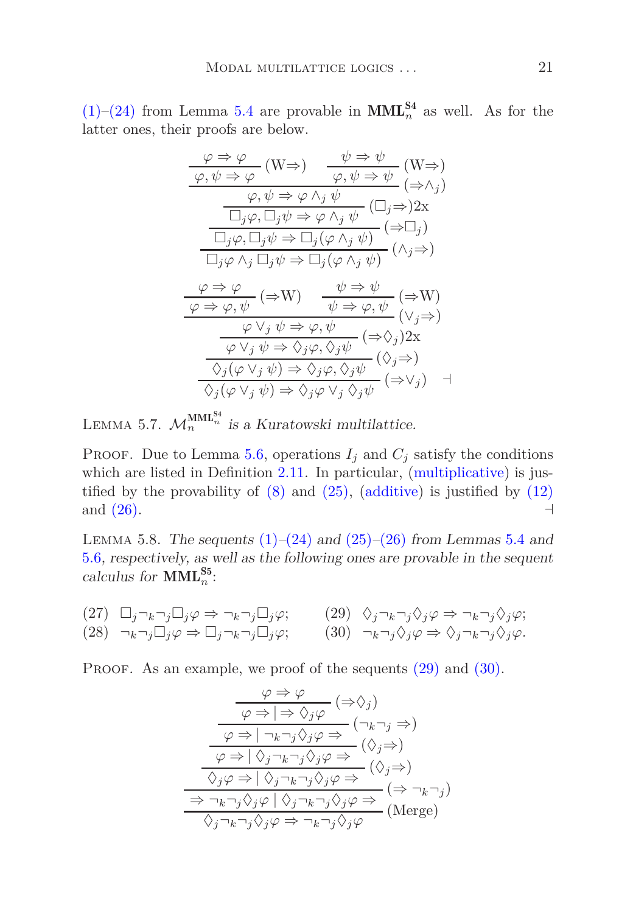$(1)$ – $(24)$  from Lemma [5.4](#page-19-0) are provable in **MML**<sup>S4</sup><sub>n</sub> as well. As for the latter ones, their proofs are below.

$$
\frac{\varphi \Rightarrow \varphi}{\varphi, \psi \Rightarrow \varphi} (W \Rightarrow) \frac{\psi \Rightarrow \psi}{\varphi, \psi \Rightarrow \psi} (W \Rightarrow)
$$
\n
$$
\frac{\varphi, \psi \Rightarrow \varphi \land_j \psi}{\Box_j \varphi, \Box_j \psi \Rightarrow \varphi \land_j \psi} (\Rightarrow \land_j)
$$
\n
$$
\frac{\Box_j \varphi, \Box_j \psi \Rightarrow \varphi \land_j \psi}{\Box_j \varphi, \Box_j \psi \Rightarrow \Box_j (\varphi \land_j \psi)} (\Rightarrow \Box_j)
$$
\n
$$
\frac{\varphi \Rightarrow \varphi}{\Box_j \varphi \land_j \Box_j \psi \Rightarrow \Box_j (\varphi \land_j \psi)} (\land_j \Rightarrow)
$$
\n
$$
\frac{\varphi \Rightarrow \varphi}{\varphi \Rightarrow \varphi, \psi} (\Rightarrow W) \frac{\psi \Rightarrow \psi}{\psi \Rightarrow \varphi, \psi} (\Rightarrow W)
$$
\n
$$
\frac{\varphi \lor_j \psi \Rightarrow \varphi, \psi}{\varphi \lor_j \psi \Rightarrow \Diamond_j \varphi, \Diamond_j \psi} (\Rightarrow \Diamond_j) 2x
$$
\n
$$
\frac{\Diamond_j (\varphi \lor_j \psi) \Rightarrow \Diamond_j \varphi, \Diamond_j \psi}{\Diamond_j (\varphi \lor_j \psi) \Rightarrow \Diamond_j \varphi, \Diamond_j \psi} (\Diamond_j \Rightarrow)
$$

<span id="page-20-5"></span>LEMMA 5.7.  $\mathcal{M}_n^{\text{MML}_n^{S4}}$  is a Kuratowski multilattice.

PROOF. Due to Lemma [5.6,](#page-19-23) operations  $I_i$  and  $C_j$  satisfy the conditions which are listed in Definition [2.11.](#page-6-4) In particular, [\(multiplicative\)](#page-6-5) is justified by the provability of  $(8)$  and  $(25)$ ,  $(additive)$  is justified by  $(12)$ and  $(26)$ .  $\qquad \qquad \rightarrow$ 

<span id="page-20-2"></span>LEMMA 5.8. The sequents  $(1)–(24)$  $(1)–(24)$  $(1)–(24)$  and  $(25)–(26)$  $(25)–(26)$  $(25)–(26)$  from Lemmas [5.4](#page-19-0) and [5.6](#page-19-23), respectively, as well as the following ones are provable in the sequent calculus for  $\text{MML}_{n}^{\text{S5}}$ :

<span id="page-20-4"></span><span id="page-20-3"></span>
$$
\begin{array}{lll}\n(27) & \Box_j \neg_k \neg_j \Box_j \varphi \Rightarrow \neg_k \neg_j \Box_j \varphi; & (29) & \Diamond_j \neg_k \neg_j \Diamond_j \varphi \Rightarrow \neg_k \neg_j \Diamond_j \varphi; \\
(28) & \neg_k \neg_j \Box_j \varphi \Rightarrow \Box_j \neg_k \neg_j \Box_j \varphi; & (30) & \neg_k \neg_j \Diamond_j \varphi \Rightarrow \Diamond_j \neg_k \neg_j \Diamond_j \varphi.\n\end{array}
$$

PROOF. As an example, we proof of the sequents  $(29)$  and  $(30)$ .

<span id="page-20-1"></span><span id="page-20-0"></span>
$$
\frac{\varphi \Rightarrow \varphi}{\varphi \Rightarrow |\Rightarrow \Diamond_j \varphi} (\Rightarrow \Diamond_j)
$$
\n
$$
\frac{\varphi \Rightarrow |\neg_k \neg_j \Diamond_j \varphi \Rightarrow (\neg_k \neg_j \Rightarrow)}{\varphi \Rightarrow |\neg_k \neg_j \Diamond_j \varphi \Rightarrow} (\Diamond_j \Rightarrow)}
$$
\n
$$
\frac{\varphi \Rightarrow |\Diamond_j \neg_k \neg_j \Diamond_j \varphi \Rightarrow}{\Diamond_j \varphi \Rightarrow |\Diamond_j \neg_k \neg_j \Diamond_j \varphi \Rightarrow} (\Diamond_j \Rightarrow)
$$
\n
$$
\frac{\Rightarrow \neg_k \neg_j \Diamond_j \varphi |\Diamond_j \neg_k \neg_j \Diamond_j \varphi \Rightarrow}{\Diamond_j \neg_k \neg_j \Diamond_j \varphi \Rightarrow \neg_k \neg_j \Diamond_j \varphi} (\text{Merge})
$$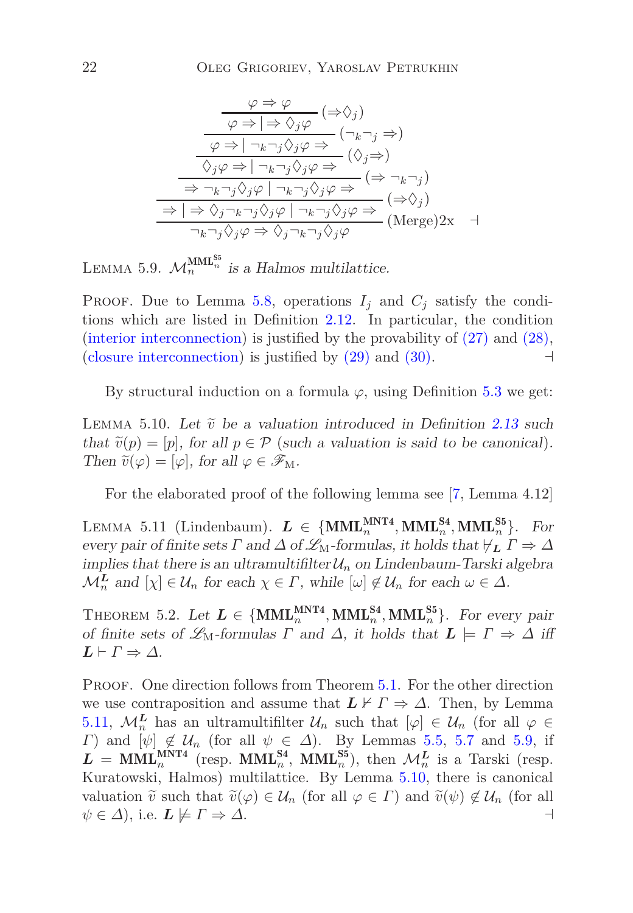$$
\frac{\varphi \Rightarrow \varphi}{\varphi \Rightarrow |\Rightarrow \Diamond_j \varphi} (\Rightarrow \Diamond_j)
$$
\n
$$
\frac{\varphi \Rightarrow |\neg_k \neg_j \Diamond_j \varphi \Rightarrow (\neg_k \neg_j \Rightarrow)}{\Diamond_j \varphi \Rightarrow |\neg_k \neg_j \Diamond_j \varphi \Rightarrow} (\Diamond_j \Rightarrow)}
$$
\n
$$
\frac{\Diamond_j \varphi \Rightarrow |\neg_k \neg_j \Diamond_j \varphi \Rightarrow}{\Rightarrow \neg_k \neg_j \Diamond_j \varphi |\neg_k \neg_j \Diamond_j \varphi \Rightarrow} (\Rightarrow \neg_k \neg_j)
$$
\n
$$
\frac{\Rightarrow |\Rightarrow \Diamond_j \neg_k \neg_j \Diamond_j \varphi |\neg_k \neg_j \Diamond_j \varphi \Rightarrow}{\neg_k \neg_j \Diamond_j \varphi \Rightarrow \Diamond_j \neg_k \neg_j \Diamond_j \varphi} (\text{Merge}) 2x \quad \exists
$$

<span id="page-21-2"></span>LEMMA 5.9.  $\mathcal{M}_n^{\text{MML}_n^{\text{ss}}}$  is a Halmos multilattice.

PROOF. Due to Lemma [5.8,](#page-20-2) operations  $I_j$  and  $C_j$  satisfy the conditions which are listed in Definition [2.12.](#page-6-8) In particular, the condition [\(interior interconnection\)](#page-6-9) is justified by the provability of [\(27\)](#page-20-3) and [\(28\),](#page-20-4) [\(closure interconnection\)](#page-6-6) is justified by  $(29)$  and  $(30)$ . ⊣

<span id="page-21-3"></span>By structural induction on a formula  $\varphi$ , using Definition [5.3](#page-25-0) we get:

LEMMA 5.10. Let  $\tilde{v}$  be a valuation introduced in Definition [2.13](#page-6-1) such that  $\tilde{v}(p) = [p]$ , for all  $p \in \mathcal{P}$  (such a valuation is said to be canonical). Then  $\tilde{v}(\varphi) = [\varphi]$ , for all  $\varphi \in \mathscr{F}_M$ .

<span id="page-21-1"></span>For the elaborated proof of the following lemma see [\[7,](#page-29-6) Lemma 4.12]

LEMMA 5.11 (Lindenbaum).  $L \in \{MML_n^{MNT4}, MML_n^{S4}, MML_n^{S5}\}$ . For every pair of finite sets  $\Gamma$  and  $\Delta$  of  $\mathscr{L}_{M}$ -formulas, it holds that  $\nvdash_L \Gamma \Rightarrow \Delta$ implies that there is an ultramultifilter  $\mathcal{U}_n$  on Lindenbaum-Tarski algebra  $\mathcal{M}_n^{\mathbf{L}}$  and  $[\chi] \in \mathcal{U}_n$  for each  $\chi \in \Gamma$ , while  $[\omega] \notin \mathcal{U}_n$  for each  $\omega \in \Delta$ .

THEOREM 5.2. Let  $L \in \{MML_n^{MNT4}, MML_n^{S4}, MML_n^{S5}\}$ . For every pair of finite sets of  $\mathscr{L}_{M}$ -formulas *Γ* and  $\Delta$ , it holds that  $\mathbf{L} \models \Gamma \Rightarrow \Delta$  iff  $L \vdash \Gamma \Rightarrow \Delta$ .

<span id="page-21-0"></span>PROOF. One direction follows from Theorem [5.1.](#page-18-0) For the other direction we use contraposition and assume that  $L \nvdash \Gamma \Rightarrow \Delta$ . Then, by Lemma [5.11,](#page-21-1)  $\mathcal{M}_n^L$  has an ultramultifilter  $\mathcal{U}_n$  such that  $[\varphi] \in \mathcal{U}_n$  (for all  $\varphi \in$ *Γ*) and  $[\psi] \notin \mathcal{U}_n$  (for all  $\psi \in \Delta$ ). By Lemmas [5.5,](#page-19-26) [5.7](#page-20-5) and [5.9,](#page-21-2) if  $L = \text{MML}_n^{\text{MNT4}}$  (resp.  $\text{MML}_n^{\text{S4}}, \text{ MML}_n^{\text{S5}}$ ), then  $\mathcal{M}_n^L$  is a Tarski (resp. Kuratowski, Halmos) multilattice. By Lemma [5.10,](#page-21-3) there is canonical valuation  $\tilde{v}$  such that  $\tilde{v}(\varphi) \in \mathcal{U}_n$  (for all  $\varphi \in \Gamma$ ) and  $\tilde{v}(\psi) \notin \mathcal{U}_n$  (for all  $\psi \in \Lambda$ ), i.e.  $L \not\models \Gamma \Rightarrow \Lambda$ .  $\psi \in \Delta$ , i.e.  $\boldsymbol{L} \not\models \Gamma \Rightarrow \Delta$ .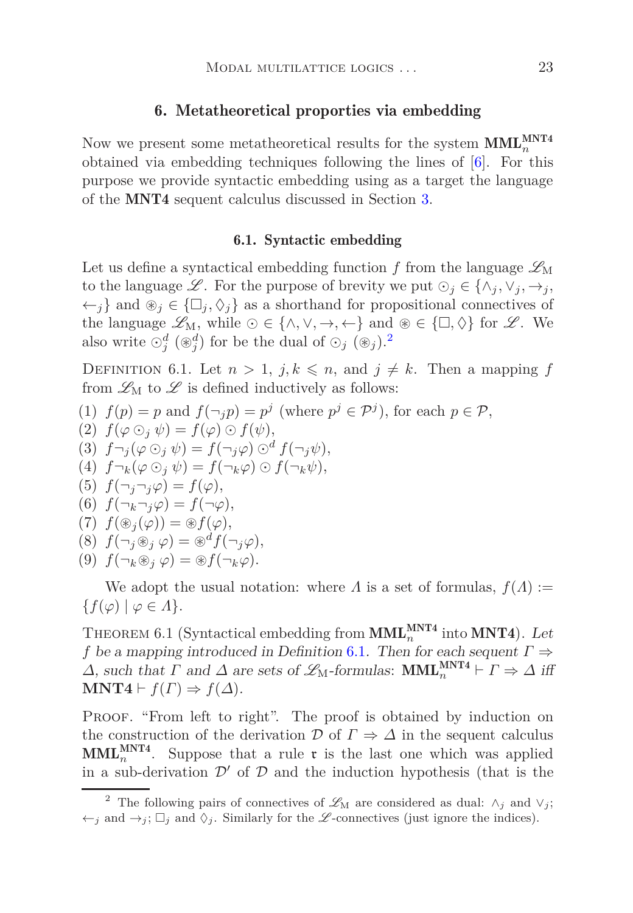# 6. Metatheoretical proporties via embedding

Now we present some metatheoretical results for the system  $\text{MML}_{n}^{\text{MNT4}}$ obtained via embedding techniques following the lines of [\[6](#page-29-5)]. For this purpose we provide syntactic embedding using as a target the language of the MNT4 sequent calculus discussed in Section [3.](#page-6-0)

### 6.1. Syntactic embedding

Let us define a syntactical embedding function  $f$  from the language  $\mathscr{L}_{\mathrm{M}}$ to the language  $\mathscr{L}$ . For the purpose of brevity we put  $\odot_j \in \{\wedge_j, \vee_j, \rightarrow_j, \}$  $\leftarrow$ *j*} and ⊛*j* ∈ { $\Box$ *j*,  $\Diamond$ *j*} as a shorthand for propositional connectives of the language  $\mathscr{L}_{M}$ , while  $\odot \in \{\land, \lor, \rightarrow, \leftarrow\}$  and  $\circledast \in \{\Box, \Diamond\}$  for  $\mathscr{L}$ . We also write  $\odot_j^d$  (⊛<sup>*d*</sup>)</sub> for be the dual of  $\odot_j$  (⊛<sub>*j*</sub>).<sup>[2](#page-22-0)</sup>

<span id="page-22-1"></span>DEFINITION 6.1. Let  $n > 1$ ,  $j, k \leq n$ , and  $j \neq k$ . Then a mapping f from  $\mathscr{L}_{\mathrm{M}}$  to  $\mathscr{L}$  is defined inductively as follows:

(1)  $f(p) = p$  and  $f(\neg_j p) = p^j$  (where  $p^j \in \mathcal{P}^j$ ), for each  $p \in \mathcal{P}$ ,

$$
(2) f(\varphi \odot_j \psi) = f(\varphi) \odot f(\psi),
$$

- (3)  $f \neg_j (\varphi \bigcirc_j \psi) = f(\neg_j \varphi) \bigcirc^d f(\neg_j \psi),$
- (4)  $f\neg_k(\varphi\odot_i\psi) = f(\neg_k\varphi)\odot f(\neg_k\psi),$
- (5)  $f(\neg_j \neg_j \varphi) = f(\varphi),$

$$
(6) f(\neg_k \neg_j \varphi) = f(\neg \varphi),
$$

$$
(7) \ \ f(\circledast_j(\varphi)) = \circledast f(\varphi),
$$

$$
(8) \ f(\neg_j \circledast_j \varphi) = \circledast^{\alpha} f(\neg_j \varphi),
$$

$$
(9) f(\neg_k \circledast_j \varphi) = \circledast f(\neg_k \varphi).
$$

<span id="page-22-2"></span>We adopt the usual notation: where *Λ* is a set of formulas,  $f(\Lambda) :=$  ${f(\varphi) | \varphi \in \Lambda}.$ 

THEOREM 6.1 (Syntactical embedding from  $\text{MML}_{n}^{\text{MNT4}}$  into  $\text{MNT4}$ ). Let *f* be a mapping introduced in Definition [6.1](#page-22-1). Then for each sequent *Γ* ⇒  $\Delta$ , such that  $\Gamma$  and  $\Delta$  are sets of  $\mathscr{L}_{M}$ -formulas:  $MML_{n}^{MNT4} \vdash \Gamma \Rightarrow \Delta$  iff **MNT4**  $\vdash f(\Gamma) \Rightarrow f(\Delta)$ .

PROOF. "From left to right". The proof is obtained by induction on the construction of the derivation  $\mathcal{D}$  of  $\Gamma \Rightarrow \mathcal{L}$  in the sequent calculus  $\text{MML}_{n}^{\text{MNT4}}$ . Suppose that a rule  $\mathfrak{r}$  is the last one which was applied in a sub-derivation  $\mathcal{D}'$  of  $\mathcal D$  and the induction hypothesis (that is the

<span id="page-22-0"></span><sup>&</sup>lt;sup>2</sup> The following pairs of connectives of  $\mathscr{L}_{M}$  are considered as dual:  $\wedge_{j}$  and  $\vee_{j}$ ;  $\leftarrow_j$  and  $\rightarrow_j$ ;  $\Box_j$  and  $\Diamond_j$ . Similarly for the L-connectives (just ignore the indices).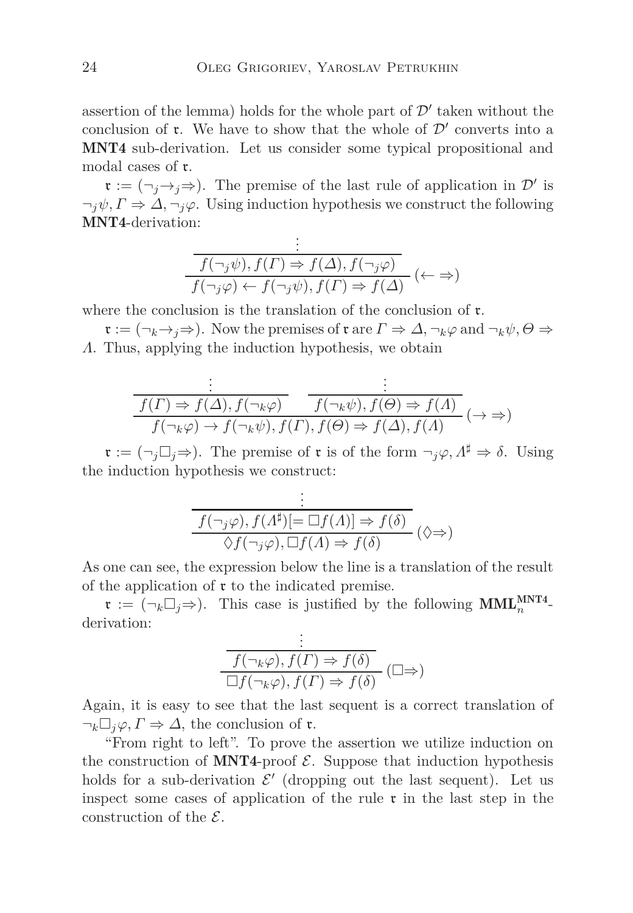assertion of the lemma) holds for the whole part of  $\mathcal{D}'$  taken without the conclusion of  $\mathfrak r$ . We have to show that the whole of  $\mathcal D'$  converts into a MNT4 sub-derivation. Let us consider some typical propositional and modal cases of r.

 $\mathfrak{r} := (\neg_j \rightarrow_j \Rightarrow)$ . The premise of the last rule of application in  $\mathcal{D}'$  is  $\neg_i \psi, \Gamma \Rightarrow \Delta, \neg_i \varphi$ . Using induction hypothesis we construct the following MNT4-derivation:

$$
\frac{\vdots}{f(\neg_j \psi), f(\Gamma) \Rightarrow f(\Delta), f(\neg_j \varphi)}\n\overline{f(\neg_j \varphi) \leftarrow f(\neg_j \psi), f(\Gamma) \Rightarrow f(\Delta)} \ (\leftarrow \Rightarrow)
$$

where the conclusion is the translation of the conclusion of  $\mathfrak{r}$ .

 $\mathfrak{r} := (\neg_k \rightarrow_j \Rightarrow)$ . Now the premises of  $\mathfrak{r}$  are  $\Gamma \Rightarrow \Delta, \neg_k \varphi$  and  $\neg_k \psi, \Theta \Rightarrow$ *Λ*. Thus, applying the induction hypothesis, we obtain

$$
\frac{\vdots}{f(\Gamma) \Rightarrow f(\Delta), f(\neg_k \varphi)} \qquad \frac{\vdots}{f(\neg_k \psi), f(\Theta) \Rightarrow f(\Lambda)} \qquad ( \to \Rightarrow )
$$
  

$$
f(\neg_k \varphi) \to f(\neg_k \psi), f(\Gamma), f(\Theta) \Rightarrow f(\Delta), f(\Lambda) \qquad (\to \Rightarrow )
$$

 $\mathfrak{r} := (\neg_i \Box_i \Rightarrow)$ . The premise of  $\mathfrak{r}$  is of the form  $\neg_i \varphi, \Lambda^{\sharp} \Rightarrow \delta$ . Using the induction hypothesis we construct:

$$
\frac{\begin{array}{l}\n\vdots \\
f(\neg_j \varphi), f(\Lambda^{\sharp})[\equiv \Box f(\Lambda)] \Rightarrow f(\delta) \\
\Diamond f(\neg_j \varphi), \Box f(\Lambda) \Rightarrow f(\delta)\n\end{array} (\Diamond \Rightarrow)
$$

As one can see, the expression below the line is a translation of the result of the application of  $\mathfrak r$  to the indicated premise.

 $\mathfrak{r} := (\neg_k \Box_j \Rightarrow)$ . This case is justified by the following  $\text{MML}_{n}^{\text{MNT4}}$ derivation: .

$$
\frac{\vdots}{f(\neg_k \varphi), f(\Gamma) \Rightarrow f(\delta)} \xrightarrow{\Box} f(\neg_k \varphi), f(\Gamma) \Rightarrow f(\delta) \quad (\Box \Rightarrow)
$$

Again, it is easy to see that the last sequent is a correct translation of  $\neg_k \Box_i \varphi, \Gamma \Rightarrow \Delta$ , the conclusion of **r**.

"From right to left". To prove the assertion we utilize induction on the construction of MNT4-proof  $\mathcal{E}$ . Suppose that induction hypothesis holds for a sub-derivation  $\mathcal{E}'$  (dropping out the last sequent). Let us inspect some cases of application of the rule  $\mathfrak{r}$  in the last step in the construction of the  $\mathcal{E}$ .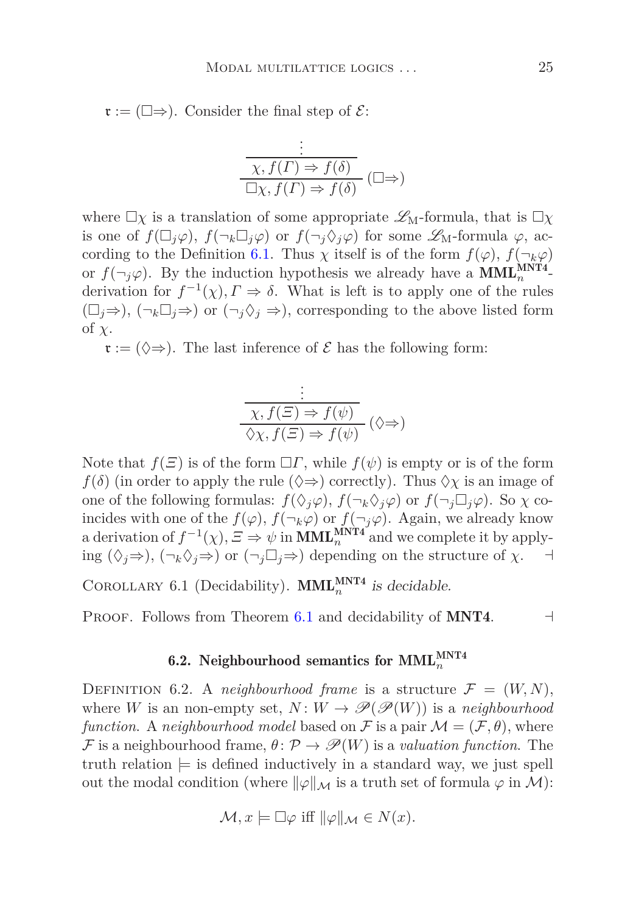$\mathfrak{r} := (\square \Rightarrow)$ . Consider the final step of  $\mathcal{E}$ :

$$
\frac{\begin{array}{c}\n\vdots \\
\hline\n\chi, f(\Gamma) \Rightarrow f(\delta) \\
\Box \chi, f(\Gamma) \Rightarrow f(\delta)\n\end{array}}\n\quad (\Box \Rightarrow)
$$

where  $\Box \chi$  is a translation of some appropriate  $\mathscr{L}_{M}$ -formula, that is  $\Box \chi$ is one of  $f(\Box_j \varphi)$ ,  $f(\neg_k \Box_j \varphi)$  or  $f(\neg_j \Diamond_j \varphi)$  for some  $\mathscr{L}_M$ -formula  $\varphi$ , ac-cording to the Definition [6.1.](#page-22-1) Thus  $\chi$  itself is of the form  $f(\varphi)$ ,  $f(\neg_k \varphi)$ or  $f(\neg_j \varphi)$ . By the induction hypothesis we already have a **MML**<sup>MNT4</sup>derivation for  $f^{-1}(\chi)$ ,  $\Gamma \Rightarrow \delta$ . What is left is to apply one of the rules  $(\Box_i \Rightarrow)$ ,  $(\neg_k \Box_j \Rightarrow)$  or  $(\neg_i \Diamond_i \Rightarrow)$ , corresponding to the above listed form of *χ*.

 $\mathfrak{r} := (\Diamond \Rightarrow)$ . The last inference of  $\mathcal E$  has the following form:

$$
\frac{\vdots}{\chi, f(\Xi) \Rightarrow f(\psi)} \xrightarrow[\Diamond \chi, f(\Xi) \Rightarrow f(\psi) \quad (\Diamond \Rightarrow)
$$

Note that  $f(\mathcal{Z})$  is of the form  $\Box \Gamma$ , while  $f(\psi)$  is empty or is of the form  $f(\delta)$  (in order to apply the rule  $(\Diamond \Rightarrow)$  correctly). Thus  $\Diamond \chi$  is an image of one of the following formulas:  $f(\Diamond_i \varphi)$ ,  $f(\neg_k \Diamond_i \varphi)$  or  $f(\neg_i \Box_i \varphi)$ . So  $\chi$  coincides with one of the  $f(\varphi)$ ,  $f(\neg_k \varphi)$  or  $f(\neg_j \varphi)$ . Again, we already know a derivation of  $f^{-1}(\chi)$ ,  $\Xi \Rightarrow \psi$  in **MML**<sup>MNT4</sup> and we complete it by applying  $(\Diamond_i \Rightarrow), (\neg_k \Diamond_j \Rightarrow)$  or  $(\neg_j \Box_j \Rightarrow)$  depending on the structure of  $\chi$ .  $\exists$ 

COROLLARY 6.1 (Decidability). **MML**<sup>MNT4</sup> is decidable.

PROOF. Follows from Theorem [6.1](#page-22-2) and decidability of **MNT4.**  $\lnot$ 

# 6.2. Neighbourhood semantics for  $\text{MML}_n^{\text{MNT4}}$

DEFINITION 6.2. A *neighbourhood frame* is a structure  $\mathcal{F} = (W, N)$ , where *W* is an non-empty set,  $N: W \to \mathscr{P}(\mathscr{P}(W))$  is a *neighbourhood function.* A *neighbourhood model* based on F is a pair  $\mathcal{M} = (\mathcal{F}, \theta)$ , where F is a neighbourhood frame,  $\theta \colon \mathcal{P} \to \mathcal{P}(W)$  is a *valuation function*. The truth relation  $\models$  is defined inductively in a standard way, we just spell out the modal condition (where  $\|\varphi\|_{\mathcal{M}}$  is a truth set of formula  $\varphi$  in M):

$$
\mathcal{M}, x \models \Box \varphi \text{ iff } \|\varphi\|_{\mathcal{M}} \in N(x).
$$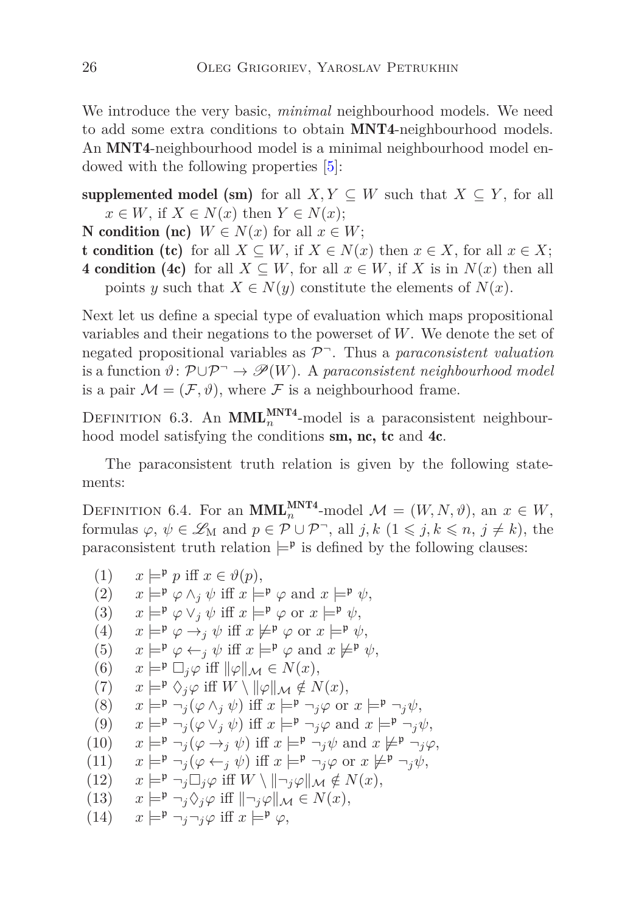We introduce the very basic, *minimal* neighbourhood models. We need to add some extra conditions to obtain MNT4-neighbourhood models. An MNT4-neighbourhood model is a minimal neighbourhood model endowed with the following properties [\[5\]](#page-29-13):

- supplemented model (sm) for all *X, Y*  $\subseteq$  *W* such that *X*  $\subseteq$  *Y*, for all  $x \in W$ , if  $X \in N(x)$  then  $Y \in N(x)$ ;
- N condition (nc) *W* ∈ *N*(*x*) for all  $x \in W$ ;
- **t** condition (tc) for all  $X \subseteq W$ , if  $X \in N(x)$  then  $x \in X$ , for all  $x \in X$ ;
- 4 condition (4c) for all  $X \subseteq W$ , for all  $x \in W$ , if X is in  $N(x)$  then all points *y* such that  $X \in N(y)$  constitute the elements of  $N(x)$ .

Next let us define a special type of evaluation which maps propositional variables and their negations to the powerset of *W*. We denote the set of negated propositional variables as P <sup>¬</sup>. Thus a *paraconsistent valuation* is a function  $\vartheta: \mathcal{P} \cup \mathcal{P} \rightarrow \mathcal{P}(W)$ . A *paraconsistent neighbourhood model* is a pair  $\mathcal{M} = (\mathcal{F}, \vartheta)$ , where  $\mathcal F$  is a neighbourhood frame.

<span id="page-25-0"></span>DEFINITION 6.3. An **MML**<sup>MNT4</sup>-model is a paraconsistent neighbourhood model satisfying the conditions sm, nc, tc and 4c.

<span id="page-25-1"></span>The paraconsistent truth relation is given by the following statements:

DEFINITION 6.4. For an **MML**<sup>MNT4</sup>-model  $\mathcal{M} = (W, N, \vartheta)$ , an  $x \in W$ , formulas  $\varphi, \psi \in \mathcal{L}_M$  and  $p \in \mathcal{P} \cup \mathcal{P}$ , all  $j, k \in \{1 \leq j, k \leq n, j \neq k\}$ , the paraconsistent truth relation  $\models^{\mathfrak{p}}$  is defined by the following clauses:

- (1)  $x \models^{\mathfrak{p}} p$  iff  $x \in \vartheta(p)$ ,
- (2)  $x \models^{\mathfrak{p}} \varphi \wedge_i \psi \text{ iff } x \models^{\mathfrak{p}} \varphi \text{ and } x \models^{\mathfrak{p}} \psi,$
- (3)  $x \models^{\mathfrak{p}} \varphi \vee_j \psi \text{ iff } x \models^{\mathfrak{p}} \varphi \text{ or } x \models^{\mathfrak{p}} \psi,$
- (4)  $x \models^{\mathfrak{p}} \varphi \rightarrow_i \psi \text{ iff } x \not\models^{\mathfrak{p}} \varphi \text{ or } x \models^{\mathfrak{p}} \psi,$
- (5)  $x \models^{\mathfrak{p}} \varphi \leftarrow_i \psi \text{ iff } x \models^{\mathfrak{p}} \varphi \text{ and } x \not\models^{\mathfrak{p}} \psi,$
- (6)  $x \models^{\mathfrak{p}} \Box_i \varphi$  iff  $\|\varphi\|_{\mathcal{M}} \in N(x)$ ,
- $(T)$   $x \models^{\mathfrak{p}} \Diamond_i \varphi$  iff  $W \setminus ||\varphi||_{\mathcal{M}} \notin N(x),$
- (8)  $x \models^{\mathfrak{p}} \neg_i(\varphi \wedge_i \psi) \text{ iff } x \models^{\mathfrak{p}} \neg_i\varphi \text{ or } x \models^{\mathfrak{p}} \neg_i\psi,$
- (9)  $x \models^{\mathfrak{p}} \neg_i(\varphi \vee_i \psi) \text{ iff } x \models^{\mathfrak{p}} \neg_i\varphi \text{ and } x \models^{\mathfrak{p}} \neg_i\psi,$
- (10)  $x \models^{\mathfrak{p}} \neg_j(\varphi \rightarrow_j \psi) \text{ iff } x \models^{\mathfrak{p}} \neg_j\psi \text{ and } x \not\models^{\mathfrak{p}} \neg_j\varphi,$
- (11)  $x \models^{\mathfrak{p}} \neg_i(\varphi \leftarrow_i \psi) \text{ iff } x \models^{\mathfrak{p}} \neg_i\varphi \text{ or } x \not\models^{\mathfrak{p}} \neg_i\psi,$
- $(12)$   $x \models^{\mathfrak{p}} \neg_i \Box_i \varphi$  iff  $W \setminus \mathfrak{m} \neq \mathfrak{m}(\mathfrak{x})$ ,
- $(13)$   $x \models^{\mathfrak{p}} \neg_i \Diamond_i \varphi$  iff  $||\neg_i \varphi||_{\mathcal{M}} \in N(x),$
- $(14)$   $x \models^{\mathfrak{p}} \neg_i \neg_i \varphi$  iff  $x \models^{\mathfrak{p}} \varphi$ ,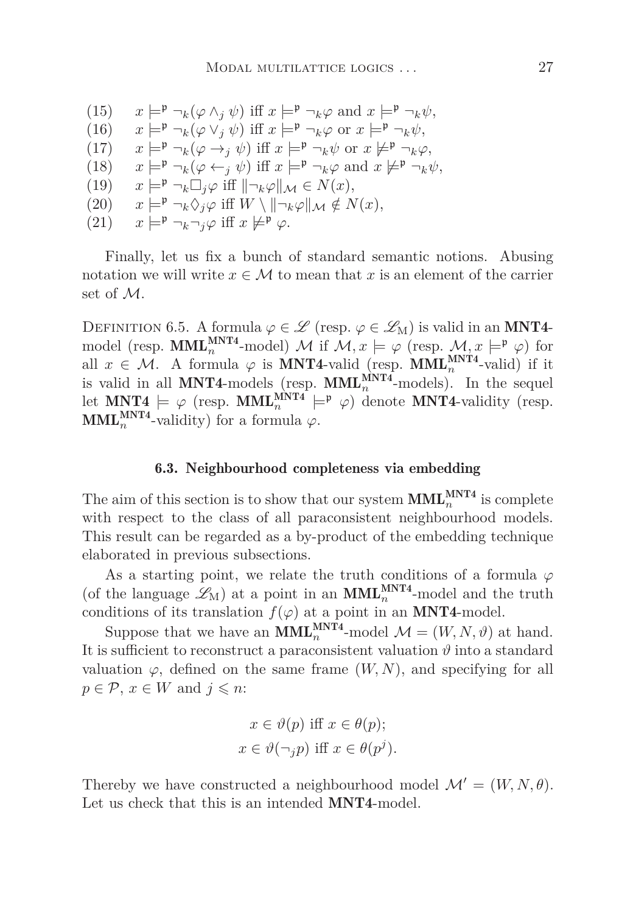$(15)$   $x \models^{\mathfrak{p}} \neg_k(\varphi \wedge_i \psi) \text{ iff } x \models^{\mathfrak{p}} \neg_k \varphi \text{ and } x \models^{\mathfrak{p}} \neg_k \psi,$ (16)  $x \models^{\mathfrak{p}} \neg_k(\varphi \lor_j \psi) \text{ iff } x \models^{\mathfrak{p}} \neg_k \varphi \text{ or } x \models^{\mathfrak{p}} \neg_k \psi,$  $(17)$   $x \models^{\mathfrak{p}} \neg_k(\varphi \rightarrow_i \psi) \text{ iff } x \models^{\mathfrak{p}} \neg_k\psi \text{ or } x \not\models^{\mathfrak{p}} \neg_k\varphi,$ (18)  $x \models^{\mathfrak{p}} \neg_k(\varphi \leftarrow_i \psi) \text{ iff } x \models^{\mathfrak{p}} \neg_k\varphi \text{ and } x \not\models^{\mathfrak{p}} \neg_k\psi,$  $(19)$   $x \models^{\mathfrak{p}} \neg_k \Box_i \varphi \text{ iff } || \neg_k \varphi ||_{\mathcal{M}} \in N(x),$  $(20)$   $x \models^{\mathfrak{p}} \neg_k \Diamond_i \varphi$  iff  $W \setminus \|\neg_k \varphi\|_{\mathcal{M}} \notin N(x)$ ,  $(21)$   $x \models^{\mathfrak{p}} \neg_k \neg_j \varphi$  iff  $x \not\models^{\mathfrak{p}} \varphi$ .

Finally, let us fix a bunch of standard semantic notions. Abusing notation we will write  $x \in \mathcal{M}$  to mean that x is an element of the carrier set of M.

DEFINITION 6.5. A formula  $\varphi \in \mathscr{L}$  (resp.  $\varphi \in \mathscr{L}_M$ ) is valid in an MNT4model (resp. **MML**<sup>MNT4</sup>-model) M if  $M, x \models \varphi$  (resp.  $M, x \models^{\mathfrak{p}} \varphi$ ) for all  $x \in \mathcal{M}$ . A formula  $\varphi$  is **MNT4**-valid (resp. **MML**<sup>MNT4</sup>-valid) if it is valid in all **MNT4**-models (resp.  $\text{MML}_{n}^{\text{MNT4}}$ -models). In the sequel let  $MNT4 \models \varphi$  (resp.  $MML_n^{MNT4} \models^{\mathfrak{p}} \varphi$ ) denote MNT4-validity (resp. **MML**<sup>MNT4</sup>-validity) for a formula  $\varphi$ .

#### 6.3. Neighbourhood completeness via embedding

The aim of this section is to show that our system  $\text{MML}_{n}^{\text{MNT4}}$  is complete with respect to the class of all paraconsistent neighbourhood models. This result can be regarded as a by-product of the embedding technique elaborated in previous subsections.

As a starting point, we relate the truth conditions of a formula  $\varphi$ (of the language  $\mathscr{L}_{M}$ ) at a point in an  $MML_{n}^{MNT4}$ -model and the truth conditions of its translation  $f(\varphi)$  at a point in an **MNT4-model**.

Suppose that we have an **MML**<sup>MNT4</sup>-model  $\mathcal{M} = (W, N, \vartheta)$  at hand. It is sufficient to reconstruct a paraconsistent valuation  $\vartheta$  into a standard valuation  $\varphi$ , defined on the same frame  $(W, N)$ , and specifying for all  $p \in \mathcal{P}$ ,  $x \in W$  and  $j \leq n$ :

$$
x \in \vartheta(p) \text{ iff } x \in \theta(p);
$$
  

$$
x \in \vartheta(\neg_j p) \text{ iff } x \in \theta(p^j).
$$

<span id="page-26-0"></span>Thereby we have constructed a neighbourhood model  $\mathcal{M}' = (W, N, \theta)$ . Let us check that this is an intended **MNT4-**model.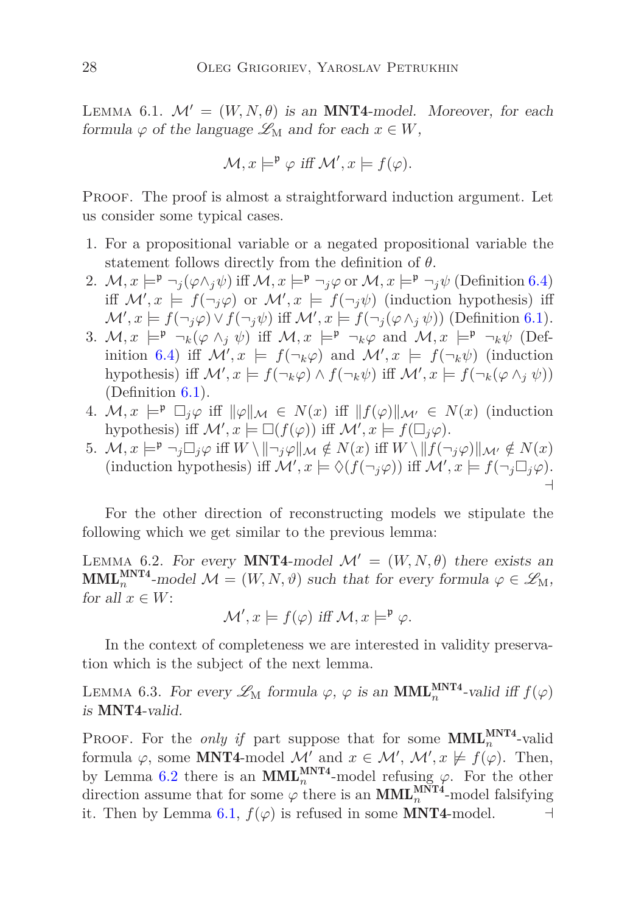LEMMA 6.1.  $\mathcal{M}' = (W, N, \theta)$  is an **MNT4**-model. Moreover, for each formula  $\varphi$  of the language  $\mathscr{L}_M$  and for each  $x \in W$ ,

$$
\mathcal{M}, x \models^{\mathfrak{p}} \varphi \text{ iff } \mathcal{M}', x \models f(\varphi).
$$

Proof. The proof is almost a straightforward induction argument. Let us consider some typical cases.

- 1. For a propositional variable or a negated propositional variable the statement follows directly from the definition of *θ*.
- 2.  $\mathcal{M}, x \models^{\mathfrak{p}} \neg_i(\varphi \wedge_i \psi)$  iff  $\mathcal{M}, x \models^{\mathfrak{p}} \neg_i \varphi$  or  $\mathcal{M}, x \models^{\mathfrak{p}} \neg_i \psi$  (Definition [6.4\)](#page-25-1) iff  $\mathcal{M}'$ ,  $x \models f(\neg_j \varphi)$  or  $\mathcal{M}'$ ,  $x \models f(\neg_j \psi)$  (induction hypothesis) iff  $\mathcal{M}', x \models f(\neg_j \varphi) \lor f(\neg_j \psi) \text{ iff } \mathcal{M}', x \models f(\neg_j(\varphi \land_j \psi)) \text{ (Definition 6.1)}.$  $\mathcal{M}', x \models f(\neg_j \varphi) \lor f(\neg_j \psi) \text{ iff } \mathcal{M}', x \models f(\neg_j(\varphi \land_j \psi)) \text{ (Definition 6.1)}.$  $\mathcal{M}', x \models f(\neg_j \varphi) \lor f(\neg_j \psi) \text{ iff } \mathcal{M}', x \models f(\neg_j(\varphi \land_j \psi)) \text{ (Definition 6.1)}.$
- 3.  $M, x \models^{\mathfrak{p}} \neg_k(\varphi \wedge_i \psi)$  iff  $M, x \models^{\mathfrak{p}} \neg_k \varphi$  and  $M, x \models^{\mathfrak{p}} \neg_k \psi$  (Def-inition [6.4\)](#page-25-1) iff  $\mathcal{M}'$ ,  $x \models f(\neg_k \varphi)$  and  $\mathcal{M}'$ ,  $x \models f(\neg_k \psi)$  (induction hypothesis) iff  $\mathcal{M}'$ ,  $x \models f(\neg_k \varphi) \land f(\neg_k \psi)$  iff  $\mathcal{M}'$ ,  $x \models f(\neg_k(\varphi \land_j \psi))$ (Definition [6.1\)](#page-22-1).
- 4.  $M, x \models^{\mathfrak{p}} \Box_i \varphi$  iff  $\|\varphi\|_{\mathcal{M}} \in N(x)$  iff  $\|f(\varphi)\|_{\mathcal{M}'} \in N(x)$  (induction hypothesis) iff  $\mathcal{M}'$ ,  $x \models \Box(f(\varphi))$  iff  $\mathcal{M}'$ ,  $x \models f(\Box_j \varphi)$ .
- 5.  $\mathcal{M}, x \models^{\mathfrak{p}} \neg_j \Box_j \varphi$  iff  $W \setminus \|\neg_j \varphi\|_{\mathcal{M}} \notin N(x)$  iff  $W \setminus \|f(\neg_j \varphi)\|_{\mathcal{M}} \notin N(x)$ (induction hypothesis) iff  $\mathcal{M}'$ ,  $x \models \Diamond (f(\neg_j \varphi))$  iff  $\mathcal{M}'$ ,  $x \models f(\neg_j \Box_j \varphi)$ . ⊣

<span id="page-27-0"></span>For the other direction of reconstructing models we stipulate the following which we get similar to the previous lemma:

LEMMA 6.2. For every **MNT4**-model  $\mathcal{M}' = (W, N, \theta)$  there exists an  $\text{MML}_{n}^{\text{MNT4}}$ -model  $\mathcal{M} = (W, N, \vartheta)$  such that for every formula  $\varphi \in \mathscr{L}_{M}$ , for all  $x \in W$ :

 $\mathcal{M}', x \models f(\varphi) \text{ iff } \mathcal{M}, x \models^{\mathfrak{p}} \varphi.$ 

<span id="page-27-1"></span>In the context of completeness we are interested in validity preservation which is the subject of the next lemma.

LEMMA 6.3. For every  $\mathscr{L}_{M}$  formula  $\varphi$ ,  $\varphi$  is an  $\text{MML}_{n}^{\text{MNT4}}$ -valid iff  $f(\varphi)$ is MNT4-valid.

PROOF. For the *only if* part suppose that for some  $\text{MML}_{n}^{\text{MNT4}}$ -valid formula  $\varphi$ , some **MNT4**-model  $\mathcal{M}'$  and  $x \in \mathcal{M}'$ ,  $\mathcal{M}'$ ,  $x \not\models f(\varphi)$ . Then, by Lemma [6.2](#page-27-0) there is an  $\text{MML}_{n}^{\text{MNT4}}$ -model refusing  $\varphi$ . For the other direction assume that for some  $\varphi$  there is an  $\text{MML}_{n}^{\text{MNT4}}$ -model falsifying it. Then by Lemma [6.1,](#page-26-0)  $f(\varphi)$  is refused in some **MNT4-**model.  $\Box$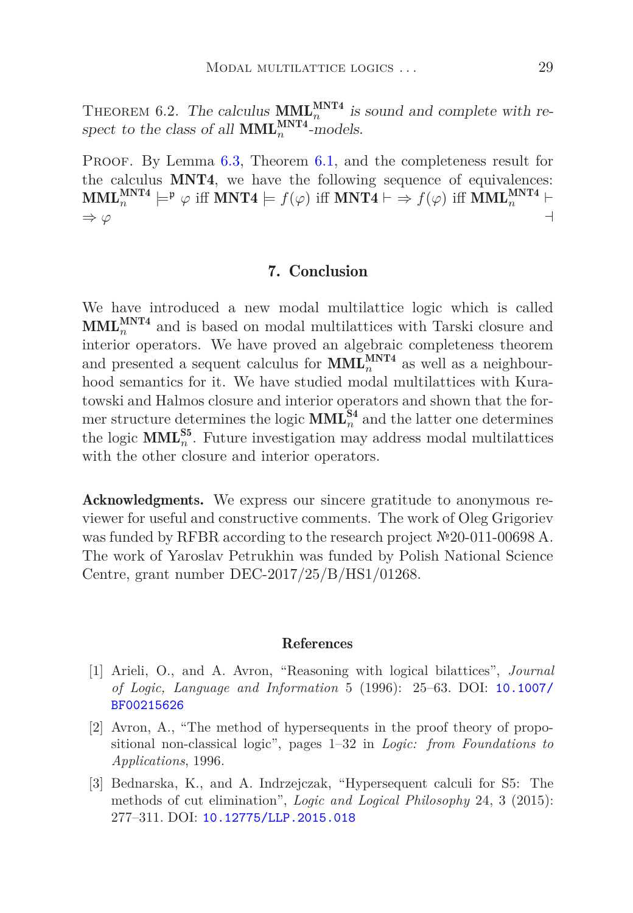THEOREM 6.2. The calculus  $\text{MML}_{n}^{\text{MNT4}}$  is sound and complete with respect to the class of all  $\text{MML}_{n}^{\text{MNT4}}$ -models.

<span id="page-28-1"></span>PROOF. By Lemma [6.3,](#page-27-1) Theorem [6.1,](#page-22-2) and the completeness result for the calculus MNT4, we have the following sequence of equivalences:  $\text{MML}_{n}^{\text{MNT4}} \models^{\text{p}} \varphi \text{ iff } \text{MNT4} \models f(\varphi) \text{ iff } \text{MNT4} \vdash \Rightarrow f(\varphi) \text{ iff } \text{MML}_{n}^{\text{MNT4}} \vdash$  $\Rightarrow \varphi$   $\qquad \qquad \rightarrow$ 

# 7. Conclusion

We have introduced a new modal multilattice logic which is called  $\text{MML}_{n}^{\text{MNT4}}$  and is based on modal multilattices with Tarski closure and interior operators. We have proved an algebraic completeness theorem and presented a sequent calculus for  $\text{MML}_{n}^{\text{MNT4}}$  as well as a neighbourhood semantics for it. We have studied modal multilattices with Kuratowski and Halmos closure and interior operators and shown that the former structure determines the logic  $\text{MML}_{n}^{\text{S4}}$  and the latter one determines the logic  $\text{MML}_{n}^{\text{S5}}$ . Future investigation may address modal multilattices with the other closure and interior operators.

Acknowledgments. We express our sincere gratitude to anonymous reviewer for useful and constructive comments. The work of Oleg Grigoriev was funded by RFBR according to the research project №20-011-00698 A. The work of Yaroslav Petrukhin was funded by Polish National Science Centre, grant number DEC-2017/25/B/HS1/01268.

# References

- <span id="page-28-0"></span>[1] Arieli, O., and A. Avron, "Reasoning with logical bilattices", *Journal of Logic, Language and Information* 5 (1996): 25–63. DOI: [10.1007/](https://doi.org/10.1007/BF00215626) [BF00215626](https://doi.org/10.1007/BF00215626)
- <span id="page-28-3"></span>[2] Avron, A., "The method of hypersequents in the proof theory of propositional non-classical logic", pages 1–32 in *Logic: from Foundations to Applications*, 1996.
- <span id="page-28-2"></span>[3] Bednarska, K., and A. Indrzejczak, "Hypersequent calculi for S5: The methods of cut elimination", *Logic and Logical Philosophy* 24, 3 (2015): 277–311. DOI: [10.12775/LLP.2015.018](https://doi.org/10.12775/LLP.2015.018)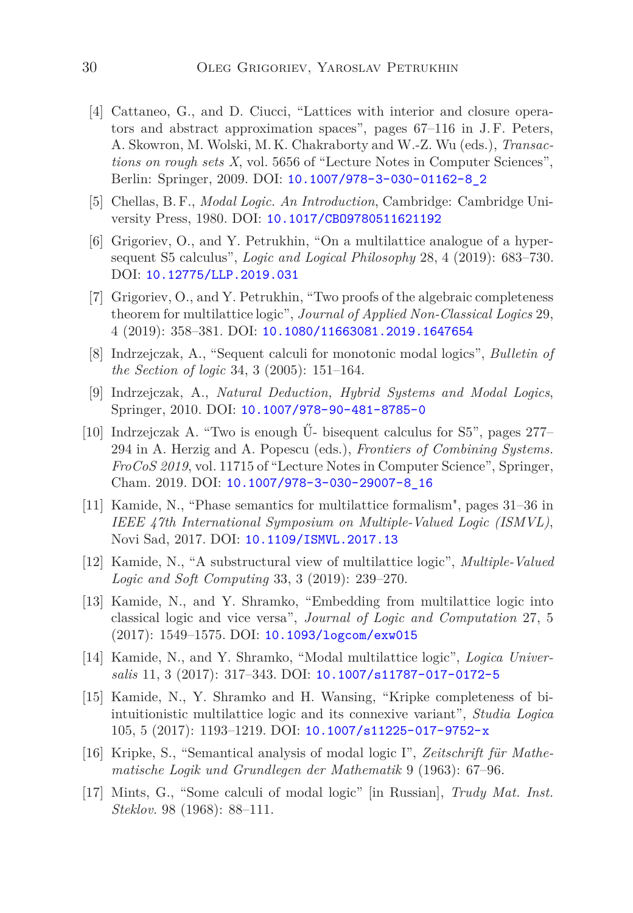- <span id="page-29-7"></span>[4] Cattaneo, G., and D. Ciucci, "Lattices with interior and closure operators and abstract approximation spaces", pages 67–116 in J.F. Peters, A. Skowron, M. Wolski, M. K. Chakraborty and W.-Z. Wu (eds.), *Transactions on rough sets X*, vol. 5656 of "Lecture Notes in Computer Sciences", Berlin: Springer, 2009. DOI: [10.1007/978-3-030-01162-8\\_2](https://doi.org/10.1007/978-3-030-01162-8_2)
- <span id="page-29-13"></span>[5] Chellas, B. F., *Modal Logic. An Introduction*, Cambridge: Cambridge University Press, 1980. DOI: [10.1017/CBO9780511621192](https://doi.org/10.1017/CBO9780511621192)
- <span id="page-29-5"></span>[6] Grigoriev, O., and Y. Petrukhin, "On a multilattice analogue of a hypersequent S5 calculus", *Logic and Logical Philosophy* 28, 4 (2019): 683–730. DOI: [10.12775/LLP.2019.031](https://doi.org/10.12775/LLP.2019.031)
- <span id="page-29-6"></span>[7] Grigoriev, O., and Y. Petrukhin, "Two proofs of the algebraic completeness theorem for multilattice logic", *Journal of Applied Non-Classical Logics* 29, 4 (2019): 358–381. DOI: [10.1080/11663081.2019.1647654](https://doi.org/10.1080/11663081.2019.1647654)
- <span id="page-29-8"></span>[8] Indrzejczak, A., "Sequent calculi for monotonic modal logics", *Bulletin of the Section of logic* 34, 3 (2005): 151–164.
- <span id="page-29-9"></span>[9] Indrzejczak, A., *Natural Deduction, Hybrid Systems and Modal Logics*, Springer, 2010. DOI: [10.1007/978-90-481-8785-0](https://doi.org/10.1007/978-90-481-8785-0)
- <span id="page-29-12"></span>[10] Indrzejczak A. "Two is enough Ű- bisequent calculus for S5", pages 277– 294 in A. Herzig and A. Popescu (eds.), *Frontiers of Combining Systems. FroCoS 2019*, vol. 11715 of "Lecture Notes in Computer Science", Springer, Cham. 2019. DOI: [10.1007/978-3-030-29007-8\\_16](https://doi.org/10.1007/978-3-030-29007-8_16)
- <span id="page-29-2"></span>[11] Kamide, N., "Phase semantics for multilattice formalism", pages 31–36 in *IEEE 47th International Symposium on Multiple-Valued Logic (ISMVL)*, Novi Sad, 2017. DOI: [10.1109/ISMVL.2017.13](https://doi.org/10.1109/ISMVL.2017.13)
- <span id="page-29-3"></span>[12] Kamide, N., "A substructural view of multilattice logic", *Multiple-Valued Logic and Soft Computing* 33, 3 (2019): 239–270.
- <span id="page-29-0"></span>[13] Kamide, N., and Y. Shramko, "Embedding from multilattice logic into classical logic and vice versa", *Journal of Logic and Computation* 27, 5 (2017): 1549–1575. DOI: [10.1093/logcom/exw015](https://doi.org/10.1093/logcom/exw015)
- <span id="page-29-4"></span>[14] Kamide, N., and Y. Shramko, "Modal multilattice logic", *Logica Universalis* 11, 3 (2017): 317–343. DOI: [10.1007/s11787-017-0172-5](https://doi.org/10.1007/s11787-017-0172-5)
- <span id="page-29-1"></span>[15] Kamide, N., Y. Shramko and H. Wansing, "Kripke completeness of biintuitionistic multilattice logic and its connexive variant", *Studia Logica* 105, 5 (2017): 1193–1219. DOI: [10.1007/s11225-017-9752-x](https://doi.org/10.1007/s11225-017-9752-x)
- <span id="page-29-10"></span>[16] Kripke, S., "Semantical analysis of modal logic I", *Zeitschrift für Mathematische Logik und Grundlegen der Mathematik* 9 (1963): 67–96.
- <span id="page-29-11"></span>[17] Mints, G., "Some calculi of modal logic" [in Russian], *Trudy Mat. Inst. Steklov.* 98 (1968): 88–111.